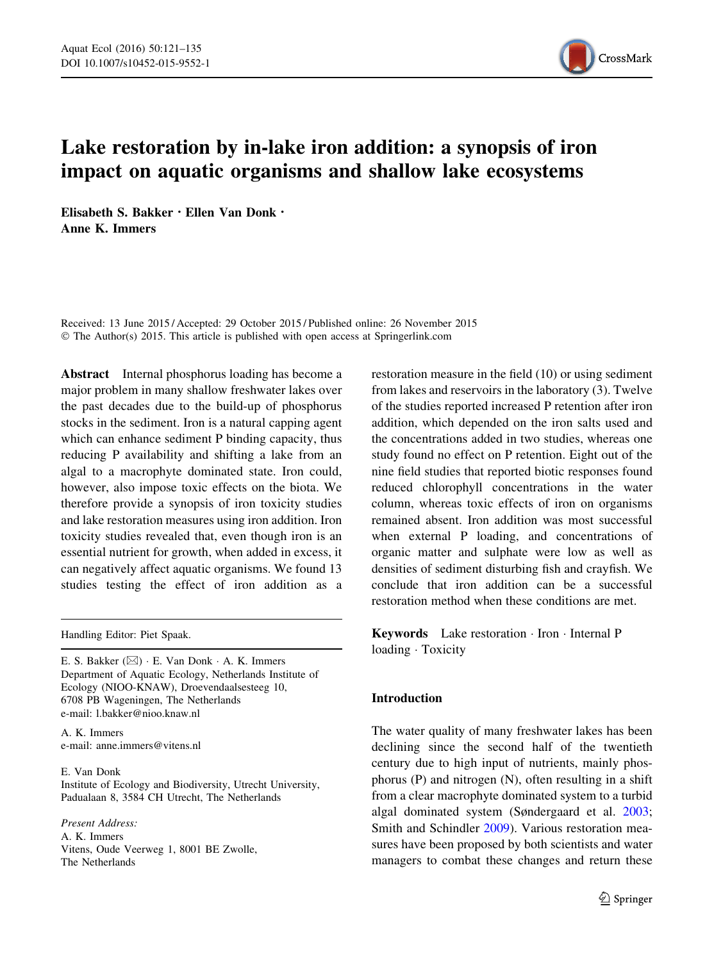

# Lake restoration by in-lake iron addition: a synopsis of iron impact on aquatic organisms and shallow lake ecosystems

Elisabeth S. Bakker . Ellen Van Donk . Anne K. Immers

Received: 13 June 2015 / Accepted: 29 October 2015 / Published online: 26 November 2015 © The Author(s) 2015. This article is published with open access at Springerlink.com

Abstract Internal phosphorus loading has become a major problem in many shallow freshwater lakes over the past decades due to the build-up of phosphorus stocks in the sediment. Iron is a natural capping agent which can enhance sediment P binding capacity, thus reducing P availability and shifting a lake from an algal to a macrophyte dominated state. Iron could, however, also impose toxic effects on the biota. We therefore provide a synopsis of iron toxicity studies and lake restoration measures using iron addition. Iron toxicity studies revealed that, even though iron is an essential nutrient for growth, when added in excess, it can negatively affect aquatic organisms. We found 13 studies testing the effect of iron addition as a

Handling Editor: Piet Spaak.

E. S. Bakker (⊠) · E. Van Donk · A. K. Immers Department of Aquatic Ecology, Netherlands Institute of Ecology (NIOO-KNAW), Droevendaalsesteeg 10, 6708 PB Wageningen, The Netherlands e-mail: l.bakker@nioo.knaw.nl

A. K. Immers e-mail: anne.immers@vitens.nl

E. Van Donk Institute of Ecology and Biodiversity, Utrecht University, Padualaan 8, 3584 CH Utrecht, The Netherlands

Present Address: A. K. Immers Vitens, Oude Veerweg 1, 8001 BE Zwolle, The Netherlands

restoration measure in the field (10) or using sediment from lakes and reservoirs in the laboratory (3). Twelve of the studies reported increased P retention after iron addition, which depended on the iron salts used and the concentrations added in two studies, whereas one study found no effect on P retention. Eight out of the nine field studies that reported biotic responses found reduced chlorophyll concentrations in the water column, whereas toxic effects of iron on organisms remained absent. Iron addition was most successful when external P loading, and concentrations of organic matter and sulphate were low as well as densities of sediment disturbing fish and crayfish. We conclude that iron addition can be a successful restoration method when these conditions are met.

Keywords Lake restoration  $\cdot$  Iron  $\cdot$  Internal P loading - Toxicity

# Introduction

The water quality of many freshwater lakes has been declining since the second half of the twentieth century due to high input of nutrients, mainly phosphorus (P) and nitrogen (N), often resulting in a shift from a clear macrophyte dominated system to a turbid algal dominated system (Søndergaard et al. [2003](#page-13-0); Smith and Schindler [2009\)](#page-13-0). Various restoration measures have been proposed by both scientists and water managers to combat these changes and return these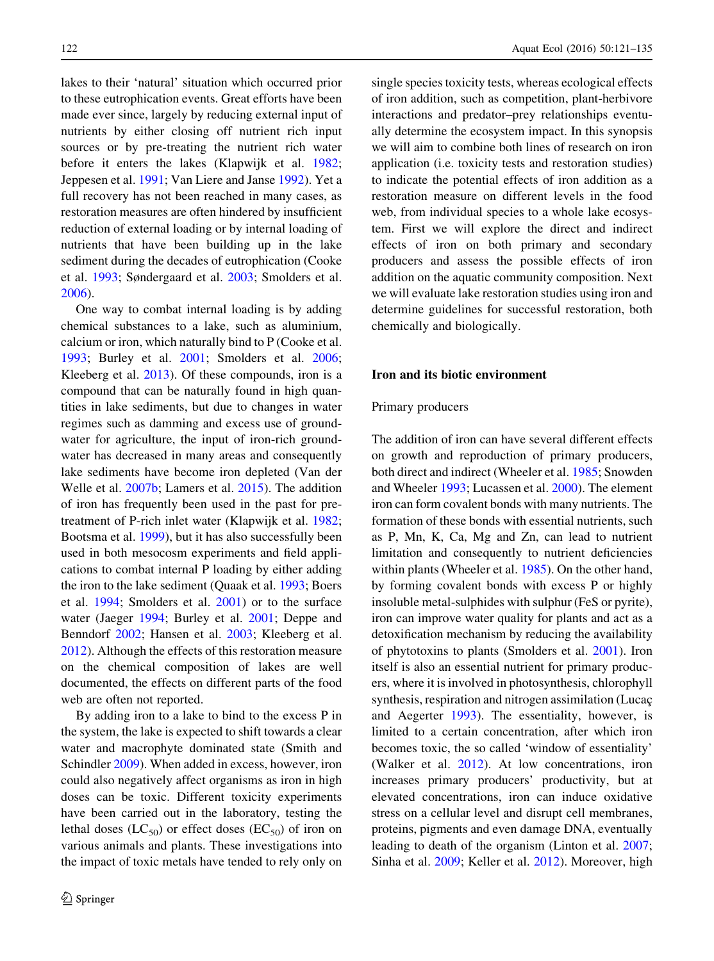lakes to their 'natural' situation which occurred prior to these eutrophication events. Great efforts have been made ever since, largely by reducing external input of nutrients by either closing off nutrient rich input sources or by pre-treating the nutrient rich water before it enters the lakes (Klapwijk et al. [1982](#page-12-0); Jeppesen et al. [1991](#page-12-0); Van Liere and Janse [1992](#page-14-0)). Yet a full recovery has not been reached in many cases, as restoration measures are often hindered by insufficient reduction of external loading or by internal loading of nutrients that have been building up in the lake sediment during the decades of eutrophication (Cooke et al. [1993;](#page-12-0) Søndergaard et al. [2003](#page-13-0); Smolders et al. [2006\)](#page-13-0).

One way to combat internal loading is by adding chemical substances to a lake, such as aluminium, calcium or iron, which naturally bind to P (Cooke et al. [1993;](#page-12-0) Burley et al. [2001;](#page-12-0) Smolders et al. [2006](#page-13-0); Kleeberg et al. [2013](#page-13-0)). Of these compounds, iron is a compound that can be naturally found in high quantities in lake sediments, but due to changes in water regimes such as damming and excess use of groundwater for agriculture, the input of iron-rich groundwater has decreased in many areas and consequently lake sediments have become iron depleted (Van der Welle et al. [2007b](#page-14-0); Lamers et al. [2015](#page-13-0)). The addition of iron has frequently been used in the past for pretreatment of P-rich inlet water (Klapwijk et al. [1982](#page-12-0); Bootsma et al. [1999](#page-12-0)), but it has also successfully been used in both mesocosm experiments and field applications to combat internal P loading by either adding the iron to the lake sediment (Quaak et al. [1993;](#page-13-0) Boers et al. [1994;](#page-11-0) Smolders et al. [2001](#page-13-0)) or to the surface water (Jaeger [1994](#page-12-0); Burley et al. [2001](#page-12-0); Deppe and Benndorf [2002](#page-12-0); Hansen et al. [2003;](#page-12-0) Kleeberg et al. [2012\)](#page-13-0). Although the effects of this restoration measure on the chemical composition of lakes are well documented, the effects on different parts of the food web are often not reported.

By adding iron to a lake to bind to the excess P in the system, the lake is expected to shift towards a clear water and macrophyte dominated state (Smith and Schindler [2009](#page-13-0)). When added in excess, however, iron could also negatively affect organisms as iron in high doses can be toxic. Different toxicity experiments have been carried out in the laboratory, testing the lethal doses  $(LC_{50})$  or effect doses  $(EC_{50})$  of iron on various animals and plants. These investigations into the impact of toxic metals have tended to rely only on single species toxicity tests, whereas ecological effects of iron addition, such as competition, plant-herbivore interactions and predator–prey relationships eventually determine the ecosystem impact. In this synopsis we will aim to combine both lines of research on iron application (i.e. toxicity tests and restoration studies) to indicate the potential effects of iron addition as a restoration measure on different levels in the food web, from individual species to a whole lake ecosystem. First we will explore the direct and indirect effects of iron on both primary and secondary producers and assess the possible effects of iron addition on the aquatic community composition. Next we will evaluate lake restoration studies using iron and determine guidelines for successful restoration, both chemically and biologically.

## Iron and its biotic environment

## Primary producers

The addition of iron can have several different effects on growth and reproduction of primary producers, both direct and indirect (Wheeler et al. [1985](#page-14-0); Snowden and Wheeler [1993;](#page-13-0) Lucassen et al. [2000\)](#page-13-0). The element iron can form covalent bonds with many nutrients. The formation of these bonds with essential nutrients, such as P, Mn, K, Ca, Mg and Zn, can lead to nutrient limitation and consequently to nutrient deficiencies within plants (Wheeler et al. [1985](#page-14-0)). On the other hand, by forming covalent bonds with excess P or highly insoluble metal-sulphides with sulphur (FeS or pyrite), iron can improve water quality for plants and act as a detoxification mechanism by reducing the availability of phytotoxins to plants (Smolders et al. [2001](#page-13-0)). Iron itself is also an essential nutrient for primary producers, where it is involved in photosynthesis, chlorophyll synthesis, respiration and nitrogen assimilation (Lucac and Aegerter [1993](#page-13-0)). The essentiality, however, is limited to a certain concentration, after which iron becomes toxic, the so called 'window of essentiality' (Walker et al. [2012\)](#page-14-0). At low concentrations, iron increases primary producers' productivity, but at elevated concentrations, iron can induce oxidative stress on a cellular level and disrupt cell membranes, proteins, pigments and even damage DNA, eventually leading to death of the organism (Linton et al. [2007](#page-13-0); Sinha et al. [2009](#page-13-0); Keller et al. [2012](#page-12-0)). Moreover, high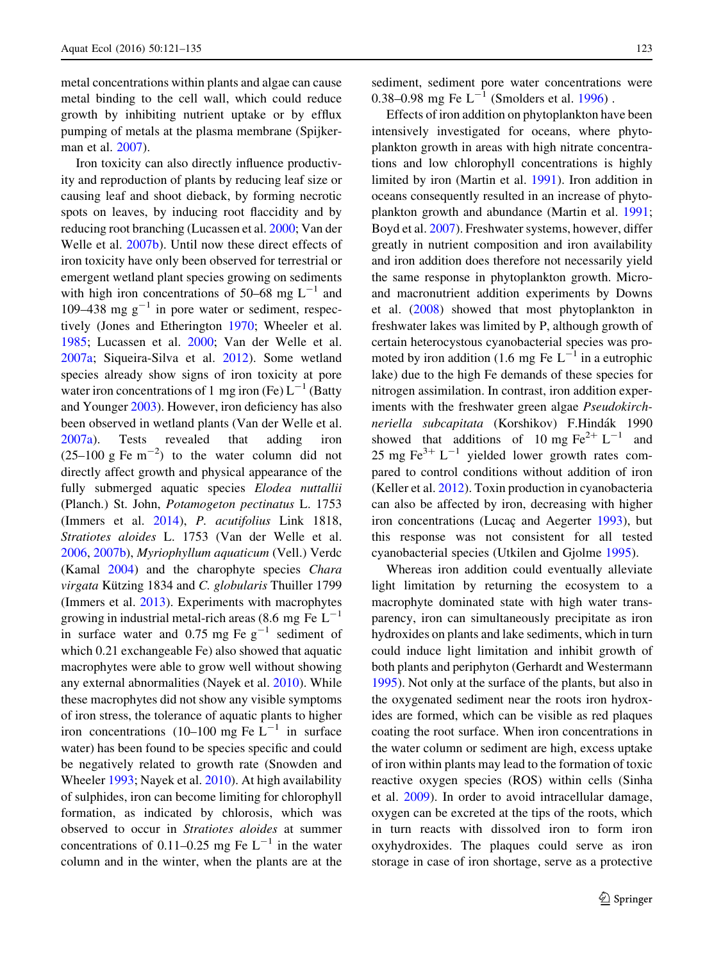metal concentrations within plants and algae can cause metal binding to the cell wall, which could reduce growth by inhibiting nutrient uptake or by efflux pumping of metals at the plasma membrane (Spijkerman et al. [2007](#page-13-0)).

Iron toxicity can also directly influence productivity and reproduction of plants by reducing leaf size or causing leaf and shoot dieback, by forming necrotic spots on leaves, by inducing root flaccidity and by reducing root branching (Lucassen et al. [2000](#page-13-0); Van der Welle et al. [2007b\)](#page-14-0). Until now these direct effects of iron toxicity have only been observed for terrestrial or emergent wetland plant species growing on sediments with high iron concentrations of 50–68 mg  $L^{-1}$  and 109–438 mg  $g^{-1}$  in pore water or sediment, respectively (Jones and Etherington [1970;](#page-12-0) Wheeler et al. [1985;](#page-14-0) Lucassen et al. [2000;](#page-13-0) Van der Welle et al. [2007a](#page-14-0); Siqueira-Silva et al. [2012\)](#page-13-0). Some wetland species already show signs of iron toxicity at pore water iron concentrations of 1 mg iron (Fe)  $L^{-1}$  (Batty and Younger [2003](#page-11-0)). However, iron deficiency has also been observed in wetland plants (Van der Welle et al. [2007a](#page-14-0)). Tests revealed that adding iron  $(25-100 \text{ g} \text{Fe} \text{ m}^{-2})$  to the water column did not directly affect growth and physical appearance of the fully submerged aquatic species Elodea nuttallii (Planch.) St. John, Potamogeton pectinatus L. 1753 (Immers et al. [2014\)](#page-12-0), P. acutifolius Link 1818, Stratiotes aloides L. 1753 (Van der Welle et al. [2006,](#page-14-0) [2007b\)](#page-14-0), Myriophyllum aquaticum (Vell.) Verdc (Kamal [2004\)](#page-12-0) and the charophyte species Chara virgata Kützing 1834 and C. globularis Thuiller 1799 (Immers et al. [2013](#page-12-0)). Experiments with macrophytes growing in industrial metal-rich areas (8.6 mg Fe  $L^{-1}$ in surface water and 0.75 mg Fe  $g^{-1}$  sediment of which 0.21 exchangeable Fe) also showed that aquatic macrophytes were able to grow well without showing any external abnormalities (Nayek et al. [2010](#page-13-0)). While these macrophytes did not show any visible symptoms of iron stress, the tolerance of aquatic plants to higher iron concentrations (10–100 mg Fe  $L^{-1}$  in surface water) has been found to be species specific and could be negatively related to growth rate (Snowden and Wheeler [1993;](#page-13-0) Nayek et al. [2010](#page-13-0)). At high availability of sulphides, iron can become limiting for chlorophyll formation, as indicated by chlorosis, which was observed to occur in Stratiotes aloides at summer concentrations of 0.11–0.25 mg Fe  $L^{-1}$  in the water column and in the winter, when the plants are at the

sediment, sediment pore water concentrations were 0.38–0.98 mg Fe  $L^{-1}$  (Smolders et al. [1996\)](#page-13-0).

Effects of iron addition on phytoplankton have been intensively investigated for oceans, where phytoplankton growth in areas with high nitrate concentrations and low chlorophyll concentrations is highly limited by iron (Martin et al. [1991](#page-13-0)). Iron addition in oceans consequently resulted in an increase of phytoplankton growth and abundance (Martin et al. [1991](#page-13-0); Boyd et al. [2007](#page-12-0)). Freshwater systems, however, differ greatly in nutrient composition and iron availability and iron addition does therefore not necessarily yield the same response in phytoplankton growth. Microand macronutrient addition experiments by Downs et al. [\(2008\)](#page-12-0) showed that most phytoplankton in freshwater lakes was limited by P, although growth of certain heterocystous cyanobacterial species was promoted by iron addition (1.6 mg Fe  $L^{-1}$  in a eutrophic lake) due to the high Fe demands of these species for nitrogen assimilation. In contrast, iron addition experiments with the freshwater green algae Pseudokirchneriella subcapitata (Korshikov) F.Hindák 1990 showed that additions of 10 mg  $\text{Fe}^{2+}$  L<sup>-1</sup> and 25 mg Fe $^{3+}$  L<sup>-1</sup> yielded lower growth rates compared to control conditions without addition of iron (Keller et al. [2012](#page-12-0)). Toxin production in cyanobacteria can also be affected by iron, decreasing with higher iron concentrations (Lucaç and Aegerter [1993\)](#page-13-0), but this response was not consistent for all tested cyanobacterial species (Utkilen and Gjolme [1995](#page-13-0)).

Whereas iron addition could eventually alleviate light limitation by returning the ecosystem to a macrophyte dominated state with high water transparency, iron can simultaneously precipitate as iron hydroxides on plants and lake sediments, which in turn could induce light limitation and inhibit growth of both plants and periphyton (Gerhardt and Westermann [1995\)](#page-12-0). Not only at the surface of the plants, but also in the oxygenated sediment near the roots iron hydroxides are formed, which can be visible as red plaques coating the root surface. When iron concentrations in the water column or sediment are high, excess uptake of iron within plants may lead to the formation of toxic reactive oxygen species (ROS) within cells (Sinha et al. [2009\)](#page-13-0). In order to avoid intracellular damage, oxygen can be excreted at the tips of the roots, which in turn reacts with dissolved iron to form iron oxyhydroxides. The plaques could serve as iron storage in case of iron shortage, serve as a protective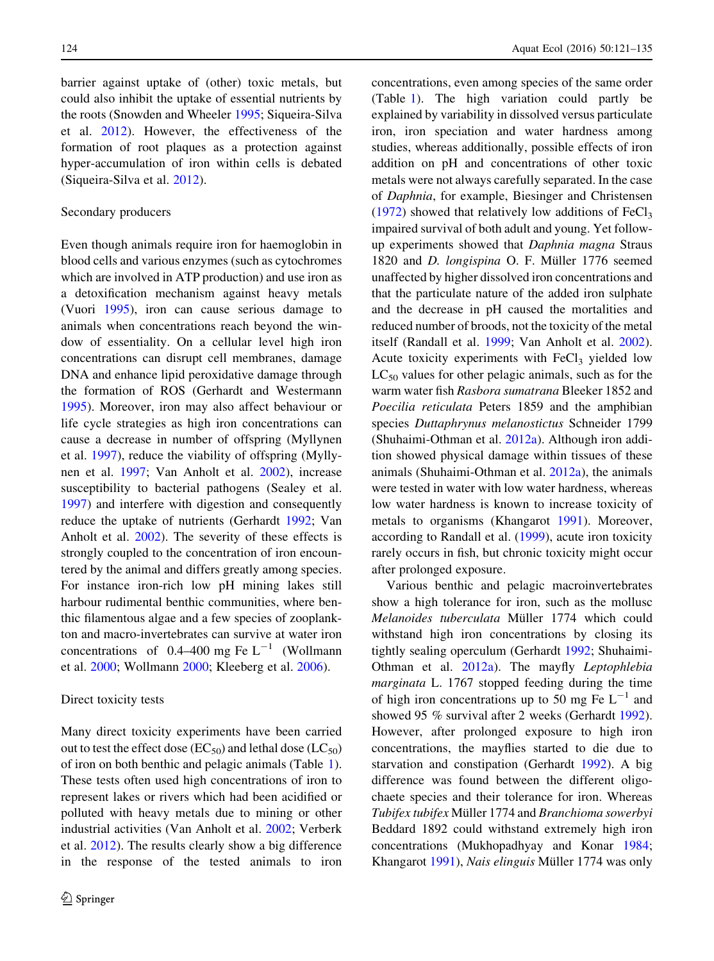barrier against uptake of (other) toxic metals, but could also inhibit the uptake of essential nutrients by the roots (Snowden and Wheeler [1995;](#page-13-0) Siqueira-Silva et al. [2012\)](#page-13-0). However, the effectiveness of the formation of root plaques as a protection against hyper-accumulation of iron within cells is debated (Siqueira-Silva et al. [2012\)](#page-13-0).

## Secondary producers

Even though animals require iron for haemoglobin in blood cells and various enzymes (such as cytochromes which are involved in ATP production) and use iron as a detoxification mechanism against heavy metals (Vuori [1995\)](#page-14-0), iron can cause serious damage to animals when concentrations reach beyond the window of essentiality. On a cellular level high iron concentrations can disrupt cell membranes, damage DNA and enhance lipid peroxidative damage through the formation of ROS (Gerhardt and Westermann [1995\)](#page-12-0). Moreover, iron may also affect behaviour or life cycle strategies as high iron concentrations can cause a decrease in number of offspring (Myllynen et al. [1997\)](#page-13-0), reduce the viability of offspring (Myllynen et al. [1997;](#page-13-0) Van Anholt et al. [2002\)](#page-13-0), increase susceptibility to bacterial pathogens (Sealey et al. [1997\)](#page-13-0) and interfere with digestion and consequently reduce the uptake of nutrients (Gerhardt [1992;](#page-12-0) Van Anholt et al. [2002](#page-13-0)). The severity of these effects is strongly coupled to the concentration of iron encountered by the animal and differs greatly among species. For instance iron-rich low pH mining lakes still harbour rudimental benthic communities, where benthic filamentous algae and a few species of zooplankton and macro-invertebrates can survive at water iron concentrations of 0.4–400 mg Fe  $L^{-1}$  (Wollmann et al. [2000](#page-14-0); Wollmann [2000](#page-14-0); Kleeberg et al. [2006\)](#page-13-0).

#### Direct toxicity tests

Many direct toxicity experiments have been carried out to test the effect dose ( $EC_{50}$ ) and lethal dose ( $LC_{50}$ ) of iron on both benthic and pelagic animals (Table [1](#page-4-0)). These tests often used high concentrations of iron to represent lakes or rivers which had been acidified or polluted with heavy metals due to mining or other industrial activities (Van Anholt et al. [2002;](#page-13-0) Verberk et al. [2012](#page-14-0)). The results clearly show a big difference in the response of the tested animals to iron concentrations, even among species of the same order (Table [1](#page-4-0)). The high variation could partly be explained by variability in dissolved versus particulate iron, iron speciation and water hardness among studies, whereas additionally, possible effects of iron addition on pH and concentrations of other toxic metals were not always carefully separated. In the case of Daphnia, for example, Biesinger and Christensen  $(1972)$  $(1972)$  showed that relatively low additions of FeCl<sub>3</sub> impaired survival of both adult and young. Yet followup experiments showed that Daphnia magna Straus 1820 and *D. longispina* O. F. Müller 1776 seemed unaffected by higher dissolved iron concentrations and that the particulate nature of the added iron sulphate and the decrease in pH caused the mortalities and reduced number of broods, not the toxicity of the metal itself (Randall et al. [1999;](#page-13-0) Van Anholt et al. [2002](#page-13-0)). Acute toxicity experiments with FeCl<sub>3</sub> yielded low  $LC_{50}$  values for other pelagic animals, such as for the warm water fish Rasbora sumatrana Bleeker 1852 and Poecilia reticulata Peters 1859 and the amphibian species Duttaphrynus melanostictus Schneider 1799 (Shuhaimi-Othman et al. [2012a\)](#page-13-0). Although iron addition showed physical damage within tissues of these animals (Shuhaimi-Othman et al. [2012a\)](#page-13-0), the animals were tested in water with low water hardness, whereas low water hardness is known to increase toxicity of metals to organisms (Khangarot [1991](#page-12-0)). Moreover, according to Randall et al. ([1999\)](#page-13-0), acute iron toxicity rarely occurs in fish, but chronic toxicity might occur after prolonged exposure.

Various benthic and pelagic macroinvertebrates show a high tolerance for iron, such as the mollusc Melanoides tuberculata Müller 1774 which could withstand high iron concentrations by closing its tightly sealing operculum (Gerhardt [1992;](#page-12-0) Shuhaimi-Othman et al. [2012a](#page-13-0)). The mayfly Leptophlebia marginata L. 1767 stopped feeding during the time of high iron concentrations up to 50 mg Fe  $L^{-1}$  and showed 95 % survival after 2 weeks (Gerhardt [1992](#page-12-0)). However, after prolonged exposure to high iron concentrations, the mayflies started to die due to starvation and constipation (Gerhardt [1992](#page-12-0)). A big difference was found between the different oligochaete species and their tolerance for iron. Whereas Tubifex tubifex Müller 1774 and Branchioma sowerbyi Beddard 1892 could withstand extremely high iron concentrations (Mukhopadhyay and Konar [1984](#page-13-0); Khangarot [1991](#page-12-0)), Nais elinguis Müller 1774 was only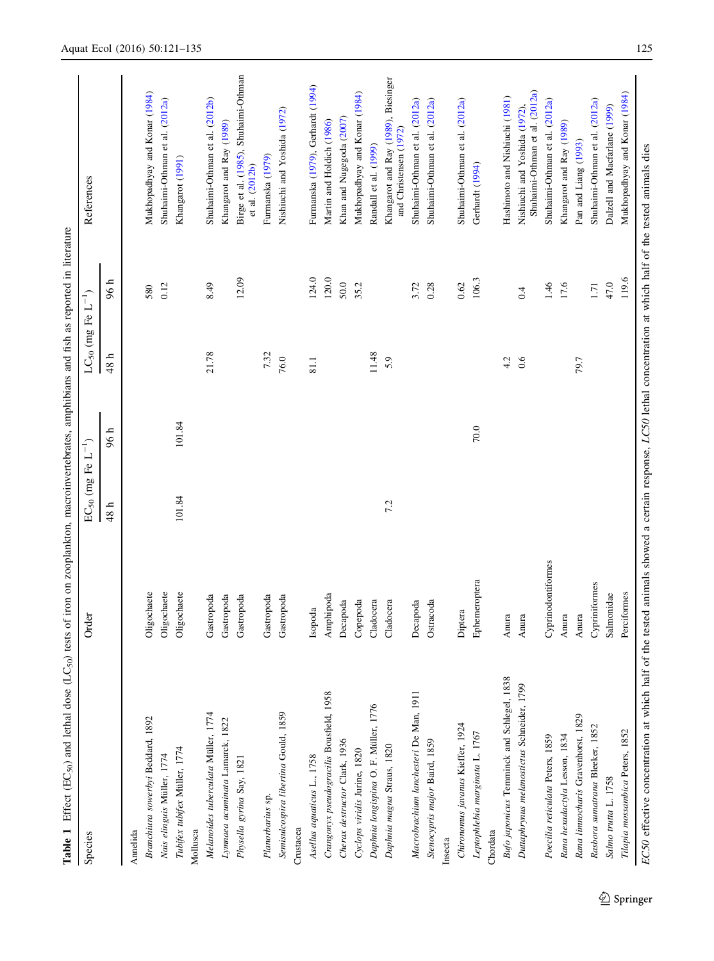<span id="page-4-0"></span>

| Oligochaete<br>Oligochaete<br>Oligochaete<br>Amphipoda<br>Gastropoda<br>Gastropoda<br>Gastropoda<br>Gastropoda<br>Gastropoda<br>Copepoda<br>Cladocera<br>Decapoda<br>Cladocera<br>Decapoda<br>Ostracoda<br>Isopoda<br>Macrobrachium lanchesteri De Man, 1911<br>Crangonyx pseudogracilis Bousfield, 1958<br>Daphnia longispina O. F. Müller, 1776<br>Melanoides tuberculata Müller, 1774<br>Senisulcospira libertina Gould, 1859<br>Branchiura sowerbyi Beddard, 1892<br>Lynnaea acuminata Lamarck, 1822<br>Cherax destructor Clark, 1936<br>Stenocypris major Baird, 1859<br>Daphnia magna Straus, 1820<br>Tubifex tubifex Müller, 1774<br>Cyclops viridis Jurine, 1820<br>Nais elinguis Müller, 1774<br>Asellus aquaticus L., 1758<br>Physella gyrina Say, 1821<br>Planorbarius sp.<br>Crustacea<br>Mollusca<br>Annelida | 101.84<br>48 h | 101.84<br>96 h | 21.78<br>7.32<br>48 h<br>76.0<br>81.1 | 12.09<br>96 h<br>0.12<br>8.49<br>580 | Birge et al. (1985), Shuhaimi-Othman<br>Mukhopadhyay and Konar (1984)<br>Shuhaimi-Othman et al. (2012b)<br>Shuhaimi-Othman et al. (2012a)<br>Khangarot and Ray (1989)<br>Khangarot (1991)<br>et al. (2012b) |
|----------------------------------------------------------------------------------------------------------------------------------------------------------------------------------------------------------------------------------------------------------------------------------------------------------------------------------------------------------------------------------------------------------------------------------------------------------------------------------------------------------------------------------------------------------------------------------------------------------------------------------------------------------------------------------------------------------------------------------------------------------------------------------------------------------------------------|----------------|----------------|---------------------------------------|--------------------------------------|-------------------------------------------------------------------------------------------------------------------------------------------------------------------------------------------------------------|
|                                                                                                                                                                                                                                                                                                                                                                                                                                                                                                                                                                                                                                                                                                                                                                                                                            |                |                |                                       |                                      |                                                                                                                                                                                                             |
|                                                                                                                                                                                                                                                                                                                                                                                                                                                                                                                                                                                                                                                                                                                                                                                                                            |                |                |                                       |                                      |                                                                                                                                                                                                             |
|                                                                                                                                                                                                                                                                                                                                                                                                                                                                                                                                                                                                                                                                                                                                                                                                                            |                |                |                                       |                                      |                                                                                                                                                                                                             |
|                                                                                                                                                                                                                                                                                                                                                                                                                                                                                                                                                                                                                                                                                                                                                                                                                            |                |                |                                       |                                      |                                                                                                                                                                                                             |
|                                                                                                                                                                                                                                                                                                                                                                                                                                                                                                                                                                                                                                                                                                                                                                                                                            |                |                |                                       |                                      |                                                                                                                                                                                                             |
|                                                                                                                                                                                                                                                                                                                                                                                                                                                                                                                                                                                                                                                                                                                                                                                                                            |                |                |                                       |                                      |                                                                                                                                                                                                             |
|                                                                                                                                                                                                                                                                                                                                                                                                                                                                                                                                                                                                                                                                                                                                                                                                                            |                |                |                                       |                                      |                                                                                                                                                                                                             |
|                                                                                                                                                                                                                                                                                                                                                                                                                                                                                                                                                                                                                                                                                                                                                                                                                            |                |                |                                       |                                      |                                                                                                                                                                                                             |
|                                                                                                                                                                                                                                                                                                                                                                                                                                                                                                                                                                                                                                                                                                                                                                                                                            |                |                |                                       |                                      |                                                                                                                                                                                                             |
|                                                                                                                                                                                                                                                                                                                                                                                                                                                                                                                                                                                                                                                                                                                                                                                                                            |                |                |                                       |                                      | Furmanska (1979)                                                                                                                                                                                            |
|                                                                                                                                                                                                                                                                                                                                                                                                                                                                                                                                                                                                                                                                                                                                                                                                                            |                |                |                                       |                                      | Nishiuchi and Yoshida (1972)                                                                                                                                                                                |
|                                                                                                                                                                                                                                                                                                                                                                                                                                                                                                                                                                                                                                                                                                                                                                                                                            |                |                |                                       |                                      |                                                                                                                                                                                                             |
|                                                                                                                                                                                                                                                                                                                                                                                                                                                                                                                                                                                                                                                                                                                                                                                                                            |                |                |                                       | 124.0                                | Furmanska (1979), Gerhardt (1994)                                                                                                                                                                           |
|                                                                                                                                                                                                                                                                                                                                                                                                                                                                                                                                                                                                                                                                                                                                                                                                                            |                |                |                                       | 120.0                                | Martin and Holdich (1986)                                                                                                                                                                                   |
|                                                                                                                                                                                                                                                                                                                                                                                                                                                                                                                                                                                                                                                                                                                                                                                                                            |                |                |                                       | 50.0                                 | Khan and Nugegoda (2007)                                                                                                                                                                                    |
|                                                                                                                                                                                                                                                                                                                                                                                                                                                                                                                                                                                                                                                                                                                                                                                                                            |                |                |                                       | 35.2                                 | Mukhopadhyay and Konar (1984)                                                                                                                                                                               |
|                                                                                                                                                                                                                                                                                                                                                                                                                                                                                                                                                                                                                                                                                                                                                                                                                            |                |                | 11.48                                 |                                      | Randall et al. (1999)                                                                                                                                                                                       |
|                                                                                                                                                                                                                                                                                                                                                                                                                                                                                                                                                                                                                                                                                                                                                                                                                            | 7.2            |                | 5.9                                   |                                      | Khangarot and Ray (1989), Biesinger<br>and Christensen (1972)                                                                                                                                               |
|                                                                                                                                                                                                                                                                                                                                                                                                                                                                                                                                                                                                                                                                                                                                                                                                                            |                |                |                                       | 3.72                                 | Shuhaimi-Othman et al. (2012a)                                                                                                                                                                              |
|                                                                                                                                                                                                                                                                                                                                                                                                                                                                                                                                                                                                                                                                                                                                                                                                                            |                |                |                                       | 0.28                                 | Shuhaimi-Othman et al. (2012a)                                                                                                                                                                              |
| Insecta                                                                                                                                                                                                                                                                                                                                                                                                                                                                                                                                                                                                                                                                                                                                                                                                                    |                |                |                                       |                                      |                                                                                                                                                                                                             |
| Diptera<br>Chironomus javanus Kieffer, 1924                                                                                                                                                                                                                                                                                                                                                                                                                                                                                                                                                                                                                                                                                                                                                                                |                |                |                                       | 0.62                                 | Shuhaimi-Othman et al. (2012a)                                                                                                                                                                              |
| Ephemeroptera<br>Leptophlebia marginata L. 1767                                                                                                                                                                                                                                                                                                                                                                                                                                                                                                                                                                                                                                                                                                                                                                            |                | $70.0$         |                                       | 106.3                                | Gerhardt (1994)                                                                                                                                                                                             |
| Chordata                                                                                                                                                                                                                                                                                                                                                                                                                                                                                                                                                                                                                                                                                                                                                                                                                   |                |                |                                       |                                      |                                                                                                                                                                                                             |
| Anura<br>Bufo japonicus Temminck and Schlegel, 1838                                                                                                                                                                                                                                                                                                                                                                                                                                                                                                                                                                                                                                                                                                                                                                        |                |                | 4.2                                   |                                      | Hashimoto and Nishiuchi (1981)                                                                                                                                                                              |
| Anura<br>Duttaphrynus melanostictus Schneider, 1799                                                                                                                                                                                                                                                                                                                                                                                                                                                                                                                                                                                                                                                                                                                                                                        |                |                | 0.6                                   | 0.4                                  | Shuhaimi-Othman et al. (2012a)<br>Nishiuchi and Yoshida (1972),                                                                                                                                             |
| Cyprinodontiformes<br>Poecilia reticulata Peters, 1859                                                                                                                                                                                                                                                                                                                                                                                                                                                                                                                                                                                                                                                                                                                                                                     |                |                |                                       | 1.46                                 | Shuhaimi-Othman et al. (2012a)                                                                                                                                                                              |
| Anura<br>Rana hexadactyla Lesson, 1834                                                                                                                                                                                                                                                                                                                                                                                                                                                                                                                                                                                                                                                                                                                                                                                     |                |                |                                       | 17.6                                 | Khangarot and Ray (1989)                                                                                                                                                                                    |
| Anura<br>Rana linnocharis Gravenhorst, 1829                                                                                                                                                                                                                                                                                                                                                                                                                                                                                                                                                                                                                                                                                                                                                                                |                |                | 79.7                                  |                                      | Pan and Liang (1993)                                                                                                                                                                                        |
| Cypriniformes<br>Rasbora sumatrana Bleeker, 1852                                                                                                                                                                                                                                                                                                                                                                                                                                                                                                                                                                                                                                                                                                                                                                           |                |                |                                       | $1.71\,$                             | Shuhaimi-Othman et al. (2012a)                                                                                                                                                                              |
| Salmonidae<br>Salmo trutta L. 1758                                                                                                                                                                                                                                                                                                                                                                                                                                                                                                                                                                                                                                                                                                                                                                                         |                |                |                                       | 47.0                                 | Dalzell and Macfarlane (1999)                                                                                                                                                                               |
| Perciformes<br>Tilapia mossambica Peters, 1852                                                                                                                                                                                                                                                                                                                                                                                                                                                                                                                                                                                                                                                                                                                                                                             |                |                |                                       | 119.6                                | Mukhopadhyay and Konar (1984)                                                                                                                                                                               |

 $\underline{\textcircled{\tiny 2}}$  Springer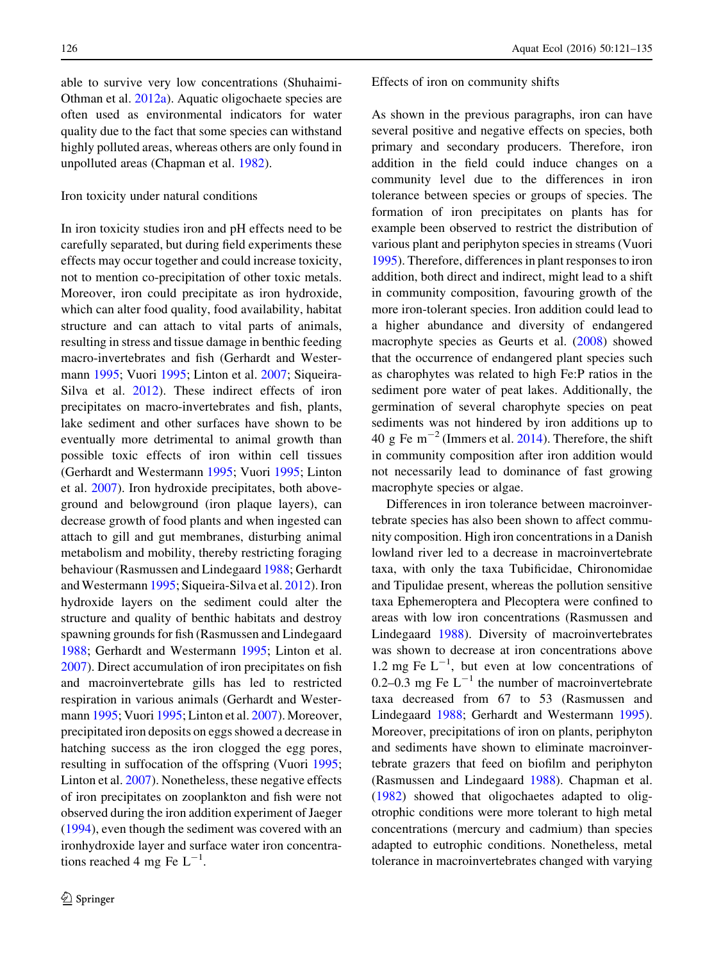able to survive very low concentrations (Shuhaimi-Othman et al. [2012a\)](#page-13-0). Aquatic oligochaete species are often used as environmental indicators for water quality due to the fact that some species can withstand highly polluted areas, whereas others are only found in unpolluted areas (Chapman et al. [1982\)](#page-12-0).

## Iron toxicity under natural conditions

In iron toxicity studies iron and pH effects need to be carefully separated, but during field experiments these effects may occur together and could increase toxicity, not to mention co-precipitation of other toxic metals. Moreover, iron could precipitate as iron hydroxide, which can alter food quality, food availability, habitat structure and can attach to vital parts of animals, resulting in stress and tissue damage in benthic feeding macro-invertebrates and fish (Gerhardt and Westermann [1995;](#page-12-0) Vuori [1995;](#page-14-0) Linton et al. [2007](#page-13-0); Siqueira-Silva et al. [2012\)](#page-13-0). These indirect effects of iron precipitates on macro-invertebrates and fish, plants, lake sediment and other surfaces have shown to be eventually more detrimental to animal growth than possible toxic effects of iron within cell tissues (Gerhardt and Westermann [1995;](#page-12-0) Vuori [1995](#page-14-0); Linton et al. [2007\)](#page-13-0). Iron hydroxide precipitates, both aboveground and belowground (iron plaque layers), can decrease growth of food plants and when ingested can attach to gill and gut membranes, disturbing animal metabolism and mobility, thereby restricting foraging behaviour (Rasmussen and Lindegaard [1988](#page-13-0); Gerhardt and Westermann [1995;](#page-12-0) Siqueira-Silva et al. [2012](#page-13-0)). Iron hydroxide layers on the sediment could alter the structure and quality of benthic habitats and destroy spawning grounds for fish (Rasmussen and Lindegaard [1988;](#page-13-0) Gerhardt and Westermann [1995;](#page-12-0) Linton et al. [2007\)](#page-13-0). Direct accumulation of iron precipitates on fish and macroinvertebrate gills has led to restricted respiration in various animals (Gerhardt and Westermann [1995;](#page-12-0) Vuori [1995;](#page-14-0) Linton et al. [2007\)](#page-13-0). Moreover, precipitated iron deposits on eggs showed a decrease in hatching success as the iron clogged the egg pores, resulting in suffocation of the offspring (Vuori [1995](#page-14-0); Linton et al. [2007](#page-13-0)). Nonetheless, these negative effects of iron precipitates on zooplankton and fish were not observed during the iron addition experiment of Jaeger [\(1994](#page-12-0)), even though the sediment was covered with an ironhydroxide layer and surface water iron concentrations reached 4 mg Fe  $L^{-1}$ .

#### Effects of iron on community shifts

As shown in the previous paragraphs, iron can have several positive and negative effects on species, both primary and secondary producers. Therefore, iron addition in the field could induce changes on a community level due to the differences in iron tolerance between species or groups of species. The formation of iron precipitates on plants has for example been observed to restrict the distribution of various plant and periphyton species in streams (Vuori [1995\)](#page-14-0). Therefore, differences in plant responses to iron addition, both direct and indirect, might lead to a shift in community composition, favouring growth of the more iron-tolerant species. Iron addition could lead to a higher abundance and diversity of endangered macrophyte species as Geurts et al. [\(2008](#page-12-0)) showed that the occurrence of endangered plant species such as charophytes was related to high Fe:P ratios in the sediment pore water of peat lakes. Additionally, the germination of several charophyte species on peat sediments was not hindered by iron additions up to 40 g Fe m<sup> $-2$ </sup> (Immers et al. [2014](#page-12-0)). Therefore, the shift in community composition after iron addition would not necessarily lead to dominance of fast growing macrophyte species or algae.

Differences in iron tolerance between macroinvertebrate species has also been shown to affect community composition. High iron concentrations in a Danish lowland river led to a decrease in macroinvertebrate taxa, with only the taxa Tubificidae, Chironomidae and Tipulidae present, whereas the pollution sensitive taxa Ephemeroptera and Plecoptera were confined to areas with low iron concentrations (Rasmussen and Lindegaard [1988\)](#page-13-0). Diversity of macroinvertebrates was shown to decrease at iron concentrations above 1.2 mg Fe  $L^{-1}$ , but even at low concentrations of 0.2–0.3 mg Fe  $L^{-1}$  the number of macroinvertebrate taxa decreased from 67 to 53 (Rasmussen and Lindegaard [1988;](#page-13-0) Gerhardt and Westermann [1995](#page-12-0)). Moreover, precipitations of iron on plants, periphyton and sediments have shown to eliminate macroinvertebrate grazers that feed on biofilm and periphyton (Rasmussen and Lindegaard [1988](#page-13-0)). Chapman et al. [\(1982](#page-12-0)) showed that oligochaetes adapted to oligotrophic conditions were more tolerant to high metal concentrations (mercury and cadmium) than species adapted to eutrophic conditions. Nonetheless, metal tolerance in macroinvertebrates changed with varying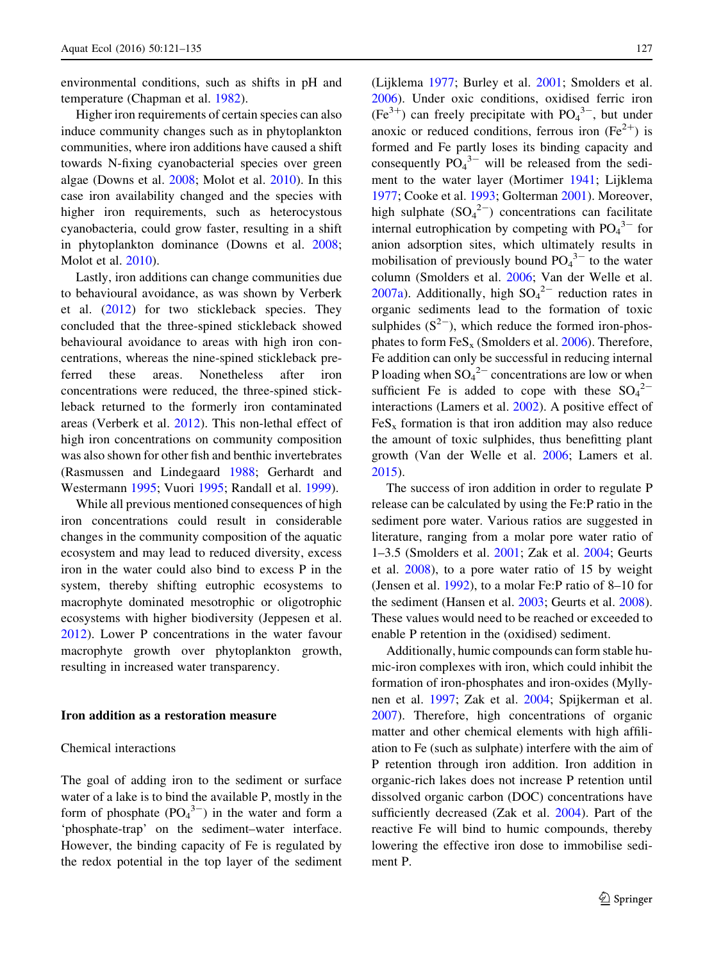environmental conditions, such as shifts in pH and temperature (Chapman et al. [1982\)](#page-12-0).

Higher iron requirements of certain species can also induce community changes such as in phytoplankton communities, where iron additions have caused a shift towards N-fixing cyanobacterial species over green algae (Downs et al. [2008;](#page-12-0) Molot et al. [2010](#page-13-0)). In this case iron availability changed and the species with higher iron requirements, such as heterocystous cyanobacteria, could grow faster, resulting in a shift in phytoplankton dominance (Downs et al. [2008](#page-12-0); Molot et al. [2010\)](#page-13-0).

Lastly, iron additions can change communities due to behavioural avoidance, as was shown by Verberk et al. ([2012\)](#page-14-0) for two stickleback species. They concluded that the three-spined stickleback showed behavioural avoidance to areas with high iron concentrations, whereas the nine-spined stickleback preferred these areas. Nonetheless after iron concentrations were reduced, the three-spined stickleback returned to the formerly iron contaminated areas (Verberk et al. [2012\)](#page-14-0). This non-lethal effect of high iron concentrations on community composition was also shown for other fish and benthic invertebrates (Rasmussen and Lindegaard [1988;](#page-13-0) Gerhardt and Westermann [1995](#page-12-0); Vuori [1995;](#page-14-0) Randall et al. [1999\)](#page-13-0).

While all previous mentioned consequences of high iron concentrations could result in considerable changes in the community composition of the aquatic ecosystem and may lead to reduced diversity, excess iron in the water could also bind to excess P in the system, thereby shifting eutrophic ecosystems to macrophyte dominated mesotrophic or oligotrophic ecosystems with higher biodiversity (Jeppesen et al. [2012\)](#page-12-0). Lower P concentrations in the water favour macrophyte growth over phytoplankton growth, resulting in increased water transparency.

## Iron addition as a restoration measure

## Chemical interactions

The goal of adding iron to the sediment or surface water of a lake is to bind the available P, mostly in the form of phosphate  $(PO<sub>4</sub><sup>3-</sup>)$  in the water and form a 'phosphate-trap' on the sediment–water interface. However, the binding capacity of Fe is regulated by the redox potential in the top layer of the sediment (Lijklema [1977](#page-13-0); Burley et al. [2001](#page-12-0); Smolders et al. [2006\)](#page-13-0). Under oxic conditions, oxidised ferric iron  $(Fe<sup>3+</sup>)$  can freely precipitate with  $PO<sub>4</sub><sup>3-</sup>$ , but under anoxic or reduced conditions, ferrous iron  $(Fe^{2+})$  is formed and Fe partly loses its binding capacity and consequently  $PO_4^{3-}$  will be released from the sediment to the water layer (Mortimer [1941;](#page-13-0) Lijklema [1977;](#page-13-0) Cooke et al. [1993](#page-12-0); Golterman [2001](#page-12-0)). Moreover, high sulphate  $(SO_4^2)$  concentrations can facilitate internal eutrophication by competing with  $PO_4^3$ <sup>-</sup> for anion adsorption sites, which ultimately results in mobilisation of previously bound  $PO<sub>4</sub><sup>3-</sup>$  to the water column (Smolders et al. [2006](#page-13-0); Van der Welle et al. [2007a](#page-14-0)). Additionally, high  $SO_4^2$  reduction rates in organic sediments lead to the formation of toxic sulphides  $(S^{2-})$ , which reduce the formed iron-phosphates to form  $FeS<sub>x</sub>$  (Smolders et al. [2006](#page-13-0)). Therefore, Fe addition can only be successful in reducing internal P loading when  $SO_4^2$  concentrations are low or when sufficient Fe is added to cope with these  $SO_4^2$ interactions (Lamers et al. [2002](#page-13-0)). A positive effect of  $F \nightharpoonup$  FeS<sub>x</sub> formation is that iron addition may also reduce the amount of toxic sulphides, thus benefitting plant growth (Van der Welle et al. [2006;](#page-14-0) Lamers et al. [2015\)](#page-13-0).

The success of iron addition in order to regulate P release can be calculated by using the Fe:P ratio in the sediment pore water. Various ratios are suggested in literature, ranging from a molar pore water ratio of 1–3.5 (Smolders et al. [2001;](#page-13-0) Zak et al. [2004;](#page-14-0) Geurts et al. [2008](#page-12-0)), to a pore water ratio of 15 by weight (Jensen et al. [1992](#page-12-0)), to a molar Fe:P ratio of 8–10 for the sediment (Hansen et al. [2003](#page-12-0); Geurts et al. [2008](#page-12-0)). These values would need to be reached or exceeded to enable P retention in the (oxidised) sediment.

Additionally, humic compounds can form stable humic-iron complexes with iron, which could inhibit the formation of iron-phosphates and iron-oxides (Myllynen et al. [1997](#page-13-0); Zak et al. [2004;](#page-14-0) Spijkerman et al. [2007\)](#page-13-0). Therefore, high concentrations of organic matter and other chemical elements with high affiliation to Fe (such as sulphate) interfere with the aim of P retention through iron addition. Iron addition in organic-rich lakes does not increase P retention until dissolved organic carbon (DOC) concentrations have sufficiently decreased (Zak et al. [2004\)](#page-14-0). Part of the reactive Fe will bind to humic compounds, thereby lowering the effective iron dose to immobilise sediment P.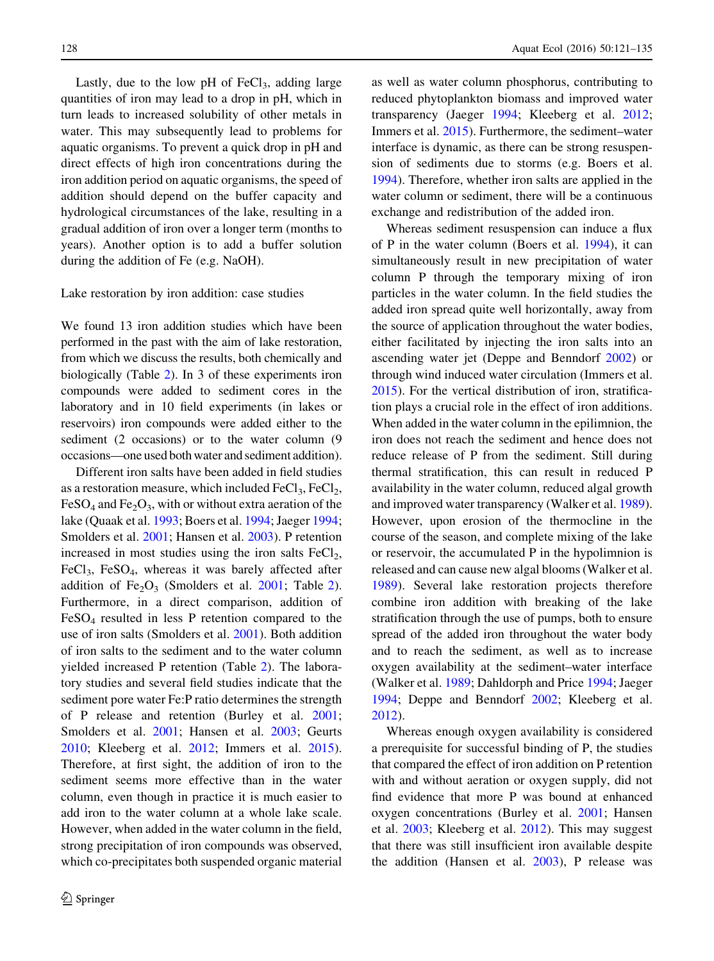Lastly, due to the low pH of  $FeCl<sub>3</sub>$ , adding large quantities of iron may lead to a drop in pH, which in turn leads to increased solubility of other metals in water. This may subsequently lead to problems for aquatic organisms. To prevent a quick drop in pH and direct effects of high iron concentrations during the iron addition period on aquatic organisms, the speed of addition should depend on the buffer capacity and hydrological circumstances of the lake, resulting in a gradual addition of iron over a longer term (months to years). Another option is to add a buffer solution during the addition of Fe (e.g. NaOH).

#### Lake restoration by iron addition: case studies

We found 13 iron addition studies which have been performed in the past with the aim of lake restoration, from which we discuss the results, both chemically and biologically (Table [2\)](#page-8-0). In 3 of these experiments iron compounds were added to sediment cores in the laboratory and in 10 field experiments (in lakes or reservoirs) iron compounds were added either to the sediment (2 occasions) or to the water column (9 occasions—one used both water and sediment addition).

Different iron salts have been added in field studies as a restoration measure, which included  $FeCl<sub>3</sub>$ ,  $FeCl<sub>2</sub>$ ,  $FeSO<sub>4</sub>$  and  $Fe<sub>2</sub>O<sub>3</sub>$ , with or without extra aeration of the lake (Quaak et al. [1993](#page-13-0); Boers et al. [1994](#page-11-0); Jaeger [1994](#page-12-0); Smolders et al. [2001](#page-13-0); Hansen et al. [2003\)](#page-12-0). P retention increased in most studies using the iron salts  $FeCl<sub>2</sub>$ , FeCl<sub>3</sub>, FeSO<sub>4</sub>, whereas it was barely affected after addition of  $Fe<sub>2</sub>O<sub>3</sub>$  $Fe<sub>2</sub>O<sub>3</sub>$  $Fe<sub>2</sub>O<sub>3</sub>$  (Smolders et al. [2001;](#page-13-0) Table 2). Furthermore, in a direct comparison, addition of  $FeSO<sub>4</sub>$  resulted in less P retention compared to the use of iron salts (Smolders et al. [2001\)](#page-13-0). Both addition of iron salts to the sediment and to the water column yielded increased P retention (Table [2\)](#page-8-0). The laboratory studies and several field studies indicate that the sediment pore water Fe:P ratio determines the strength of P release and retention (Burley et al. [2001](#page-12-0); Smolders et al. [2001](#page-13-0); Hansen et al. [2003;](#page-12-0) Geurts [2010;](#page-12-0) Kleeberg et al. [2012;](#page-13-0) Immers et al. [2015](#page-12-0)). Therefore, at first sight, the addition of iron to the sediment seems more effective than in the water column, even though in practice it is much easier to add iron to the water column at a whole lake scale. However, when added in the water column in the field, strong precipitation of iron compounds was observed, which co-precipitates both suspended organic material

as well as water column phosphorus, contributing to reduced phytoplankton biomass and improved water transparency (Jaeger [1994;](#page-12-0) Kleeberg et al. [2012](#page-13-0); Immers et al. [2015](#page-12-0)). Furthermore, the sediment–water interface is dynamic, as there can be strong resuspension of sediments due to storms (e.g. Boers et al. [1994\)](#page-11-0). Therefore, whether iron salts are applied in the water column or sediment, there will be a continuous exchange and redistribution of the added iron.

Whereas sediment resuspension can induce a flux of P in the water column (Boers et al. [1994\)](#page-11-0), it can simultaneously result in new precipitation of water column P through the temporary mixing of iron particles in the water column. In the field studies the added iron spread quite well horizontally, away from the source of application throughout the water bodies, either facilitated by injecting the iron salts into an ascending water jet (Deppe and Benndorf [2002](#page-12-0)) or through wind induced water circulation (Immers et al. [2015\)](#page-12-0). For the vertical distribution of iron, stratification plays a crucial role in the effect of iron additions. When added in the water column in the epilimnion, the iron does not reach the sediment and hence does not reduce release of P from the sediment. Still during thermal stratification, this can result in reduced P availability in the water column, reduced algal growth and improved water transparency (Walker et al. [1989](#page-14-0)). However, upon erosion of the thermocline in the course of the season, and complete mixing of the lake or reservoir, the accumulated P in the hypolimnion is released and can cause new algal blooms (Walker et al. [1989\)](#page-14-0). Several lake restoration projects therefore combine iron addition with breaking of the lake stratification through the use of pumps, both to ensure spread of the added iron throughout the water body and to reach the sediment, as well as to increase oxygen availability at the sediment–water interface (Walker et al. [1989;](#page-14-0) Dahldorph and Price [1994;](#page-12-0) Jaeger [1994;](#page-12-0) Deppe and Benndorf [2002;](#page-12-0) Kleeberg et al. [2012\)](#page-13-0).

Whereas enough oxygen availability is considered a prerequisite for successful binding of P, the studies that compared the effect of iron addition on P retention with and without aeration or oxygen supply, did not find evidence that more P was bound at enhanced oxygen concentrations (Burley et al. [2001](#page-12-0); Hansen et al. [2003;](#page-12-0) Kleeberg et al. [2012](#page-13-0)). This may suggest that there was still insufficient iron available despite the addition (Hansen et al. [2003\)](#page-12-0), P release was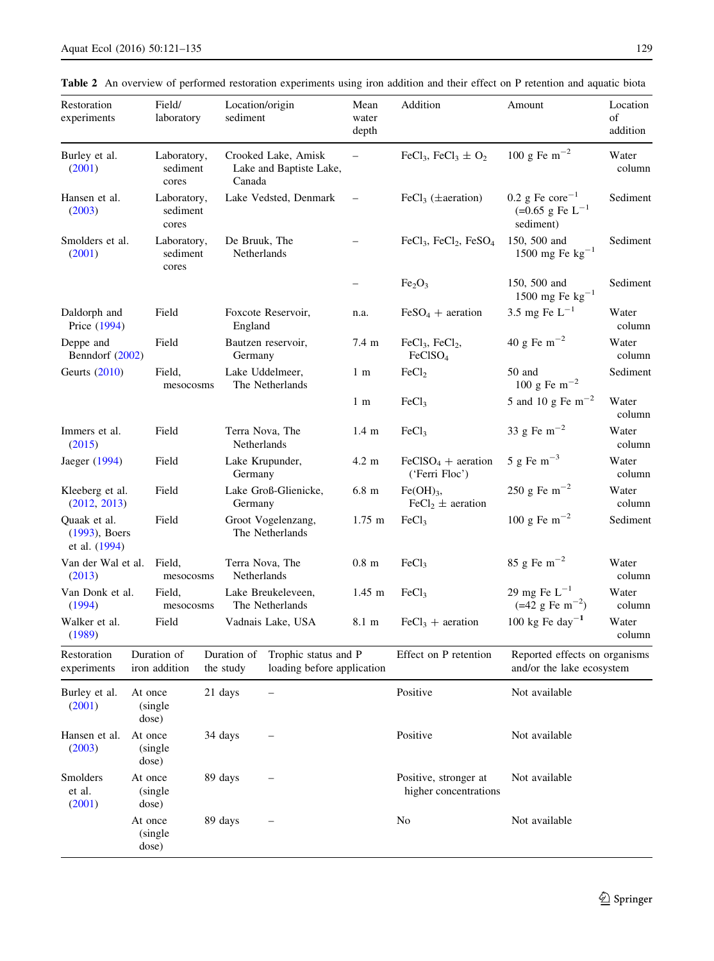<span id="page-8-0"></span>

|  |  |  |  |  | <b>Table 2</b> An overview of performed restoration experiments using iron addition and their effect on P retention and aquatic biota |  |  |  |  |  |  |  |  |  |  |  |
|--|--|--|--|--|---------------------------------------------------------------------------------------------------------------------------------------|--|--|--|--|--|--|--|--|--|--|--|
|--|--|--|--|--|---------------------------------------------------------------------------------------------------------------------------------------|--|--|--|--|--|--|--|--|--|--|--|

| Restoration<br>experiments                        |                                         | Field/<br>laboratory             |                            | Location/origin<br>sediment                                                    |                                                | Mean<br>water<br>depth                 | Addition                                                   | Amount                                                                      | Location<br>of<br>addition |
|---------------------------------------------------|-----------------------------------------|----------------------------------|----------------------------|--------------------------------------------------------------------------------|------------------------------------------------|----------------------------------------|------------------------------------------------------------|-----------------------------------------------------------------------------|----------------------------|
| Burley et al.<br>(2001)                           |                                         | Laboratory,<br>sediment<br>cores |                            | Canada                                                                         | Crooked Lake, Amisk<br>Lake and Baptiste Lake, | $\overline{\phantom{0}}$               | FeCl <sub>3</sub> , FeCl <sub>3</sub> $\pm$ O <sub>2</sub> | 100 g Fe $m^{-2}$                                                           | Water<br>column            |
| Hansen et al.<br>(2003)                           |                                         | Laboratory,<br>sediment<br>cores |                            |                                                                                | Lake Vedsted, Denmark                          |                                        | FeCl <sub>3</sub> ( $\pm$ aeration)                        | $0.2$ g Fe core <sup>-1</sup><br>$(=0.65$ g Fe L <sup>-1</sup><br>sediment) | Sediment                   |
| Smolders et al.<br>(2001)                         |                                         | Laboratory,<br>sediment<br>cores |                            | De Bruuk, The<br>Netherlands                                                   |                                                |                                        | $FeCl3$ , $FeCl2$ , $FeSO4$                                | 150, 500 and<br>1500 mg Fe $kg^{-1}$                                        | Sediment                   |
|                                                   |                                         |                                  |                            |                                                                                |                                                | -                                      | Fe <sub>2</sub> O <sub>3</sub>                             | 150, 500 and<br>1500 mg Fe $\text{kg}^{-1}$                                 | Sediment                   |
| Daldorph and<br>Price (1994)                      |                                         | Field                            |                            | England                                                                        | Foxcote Reservoir,                             | n.a.                                   | $FeSO4 + aeration$                                         | 3.5 mg Fe $\rm L^{-1}$                                                      | Water<br>column            |
| Deppe and<br>Benndorf (2002)                      |                                         | Field                            |                            | Germany                                                                        | Bautzen reservoir,                             | 7.4 m                                  | $FeCl3$ , $FeCl2$ ,<br>FeClSO <sub>4</sub>                 | 40 g Fe $m^{-2}$                                                            | Water<br>column            |
| Geurts (2010)                                     |                                         | Field,<br>mesocosms              |                            |                                                                                | Lake Uddelmeer,<br>The Netherlands             | 1 <sub>m</sub>                         | FeCl <sub>2</sub>                                          | 50 and<br>100 g Fe $m^{-2}$                                                 | Sediment                   |
|                                                   |                                         |                                  |                            |                                                                                |                                                | 1 <sub>m</sub>                         | FeCl <sub>3</sub>                                          | 5 and 10 g Fe m <sup><math>-2</math></sup>                                  | Water<br>column            |
| Immers et al.<br>(2015)                           |                                         | Field                            |                            | Terra Nova, The<br>Netherlands                                                 |                                                | 1.4 <sub>m</sub>                       | FeCl <sub>3</sub>                                          | 33 g Fe $m^{-2}$                                                            | Water<br>column            |
| Field<br>Jaeger (1994)                            |                                         |                                  | Lake Krupunder,<br>Germany |                                                                                | 4.2 m                                          | $FeCISO4 + aeration$<br>('Ferri Floc') | 5 g Fe $m^{-3}$                                            | Water<br>column                                                             |                            |
| Kleeberg et al.<br>(2012, 2013)                   |                                         | Field                            |                            | Germany                                                                        | Lake Groß-Glienicke,                           | $6.8 \text{ m}$                        | $Fe(OH)$ <sub>3</sub> ,<br>$\text{FeCl}_2 \pm$ aeration    | 250 g Fe $m^{-2}$                                                           | Water<br>column            |
| Quaak et al.<br>$(1993)$ , Boers<br>et al. (1994) |                                         | Field                            |                            |                                                                                | Groot Vogelenzang,<br>The Netherlands          | $1.75 \; \mathrm{m}$                   | FeCl <sub>3</sub>                                          | 100 g Fe m <sup><math>^{-2}</math></sup>                                    | Sediment                   |
| Van der Wal et al.<br>(2013)                      |                                         | Field,<br>mesocosms              |                            | Netherlands                                                                    | Terra Nova, The                                | $0.8 \text{ m}$                        | FeCl <sub>3</sub>                                          | 85 g Fe $m^{-2}$                                                            | Water<br>column            |
| Van Donk et al.<br>(1994)                         |                                         | Field,<br>mesocosms              |                            |                                                                                | Lake Breukeleveen,<br>The Netherlands          | $1.45$ m                               | FeCl <sub>3</sub>                                          | 29 mg Fe $L^{-1}$<br>$(=42 \text{ g Fe m}^{-2})$                            | Water<br>column            |
| Walker et al.<br>(1989)                           |                                         | Field                            |                            |                                                                                | Vadnais Lake, USA                              | 8.1 m                                  | $FeCl3 + aeration$                                         | 100 kg Fe day <sup>-1</sup>                                                 | Water<br>column            |
| Restoration<br>experiments                        | Duration of<br>iron addition            |                                  |                            | Duration of<br>Trophic status and P<br>the study<br>loading before application |                                                |                                        | Effect on P retention                                      | Reported effects on organisms<br>and/or the lake ecosystem                  |                            |
| Burley et al.<br>(2001)                           | 21 days<br>At once<br>(single<br>dose)  |                                  |                            | Positive                                                                       | Not available                                  |                                        |                                                            |                                                                             |                            |
| Hansen et al.<br>(2003)                           | At once<br>34 days<br>(single)<br>dose) |                                  |                            | Positive                                                                       | Not available                                  |                                        |                                                            |                                                                             |                            |
| Smolders<br>et al.<br>(2001)                      | At once                                 | (single)<br>dose)                |                            | 89 days                                                                        |                                                |                                        | Positive, stronger at<br>higher concentrations             | Not available                                                               |                            |
|                                                   | At once                                 | (single)<br>dose)                |                            | 89 days                                                                        |                                                |                                        | No                                                         | Not available                                                               |                            |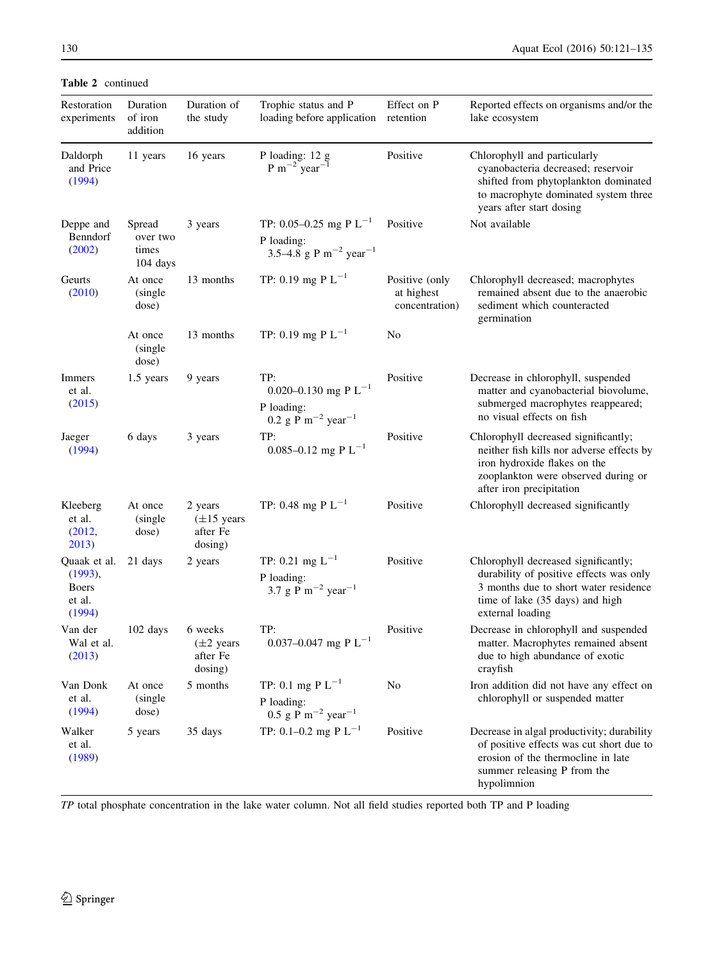Table 2 continued

| Restoration<br>experiments                                  | Duration<br>of iron<br>addition           | Duration of<br>the study                                  | Trophic status and P<br>loading before application retention                                                | Effect on P                                    | Reported effects on organisms and/or the<br>lake ecosystem                                                                                                                           |
|-------------------------------------------------------------|-------------------------------------------|-----------------------------------------------------------|-------------------------------------------------------------------------------------------------------------|------------------------------------------------|--------------------------------------------------------------------------------------------------------------------------------------------------------------------------------------|
| Daldorph<br>and Price<br>(1994)                             | 11 years                                  | 16 years                                                  | P loading: 12 g<br>$P m^{-2}$ year <sup>-1</sup>                                                            | Positive                                       | Chlorophyll and particularly<br>cyanobacteria decreased; reservoir<br>shifted from phytoplankton dominated<br>to macrophyte dominated system three<br>years after start dosing       |
| Deppe and<br>Benndorf<br>(2002)                             | Spread<br>over two<br>times<br>$104$ days | 3 years                                                   | TP: 0.05–0.25 mg P $L^{-1}$<br>P loading:<br>3.5–4.8 g P m <sup>-2</sup> year <sup>-1</sup>                 | Positive                                       | Not available                                                                                                                                                                        |
| Geurts<br>(2010)                                            | At once<br>(single)<br>dose)              | 13 months                                                 | TP: 0.19 mg P $L^{-1}$                                                                                      | Positive (only<br>at highest<br>concentration) | Chlorophyll decreased; macrophytes<br>remained absent due to the anaerobic<br>sediment which counteracted<br>germination                                                             |
|                                                             | At once<br>(single)<br>dose)              | 13 months                                                 | TP: 0.19 mg P $L^{-1}$                                                                                      | No                                             |                                                                                                                                                                                      |
| Immers<br>et al.<br>(2015)                                  | 1.5 years                                 | 9 years                                                   | TP:<br>0.020–0.130 mg P L <sup>-1</sup><br>P loading:<br>0.2 g $\bar{P}$ m <sup>-2</sup> year <sup>-1</sup> | Positive                                       | Decrease in chlorophyll, suspended<br>matter and cyanobacterial biovolume,<br>submerged macrophytes reappeared;<br>no visual effects on fish                                         |
| Jaeger<br>(1994)                                            | 6 days                                    | 3 years                                                   | TP:<br>0.085-0.12 mg P $L^{-1}$                                                                             | Positive                                       | Chlorophyll decreased significantly;<br>neither fish kills nor adverse effects by<br>iron hydroxide flakes on the<br>zooplankton were observed during or<br>after iron precipitation |
| Kleeberg<br>et al.<br>(2012,<br>2013)                       | At once<br>(single)<br>dose)              | 2 years<br>$(\pm 15$ years<br>after Fe<br>dosing)         | TP: 0.48 mg P $L^{-1}$                                                                                      | Positive                                       | Chlorophyll decreased significantly                                                                                                                                                  |
| Quaak et al.<br>(1993),<br><b>Boers</b><br>et al.<br>(1994) | 21 days                                   | 2 years                                                   | TP: 0.21 mg $L^{-1}$<br>P loading:<br>3.7 g $\bar{P}$ m <sup>-2</sup> year <sup>-1</sup>                    | Positive                                       | Chlorophyll decreased significantly;<br>durability of positive effects was only<br>3 months due to short water residence<br>time of lake (35 days) and high<br>external loading      |
| Van der<br>Wal et al.<br>(2013)                             | $102 \text{ days}$                        | 6 weeks<br>$(\pm 2 \text{ years})$<br>after Fe<br>dosing) | TP:<br>0.037-0.047 mg P $L^{-1}$                                                                            | Positive                                       | Decrease in chlorophyll and suspended<br>matter. Macrophytes remained absent<br>due to high abundance of exotic<br>crayfish                                                          |
| Van Donk<br>et al.<br>(1994)                                | At once<br>(single)<br>dose)              | 5 months                                                  | TP: 0.1 mg P $L^{-1}$<br>P loading:<br>$0.5$ g P m <sup>-2</sup> year <sup>-1</sup>                         | No                                             | Iron addition did not have any effect on<br>chlorophyll or suspended matter                                                                                                          |
| Walker<br>et al.<br>(1989)                                  | 5 years                                   | 35 days                                                   | TP: 0.1-0.2 mg P $L^{-1}$                                                                                   | Positive                                       | Decrease in algal productivity; durability<br>of positive effects was cut short due to<br>erosion of the thermocline in late<br>summer releasing P from the<br>hypolimnion           |

TP total phosphate concentration in the lake water column. Not all field studies reported both TP and P loading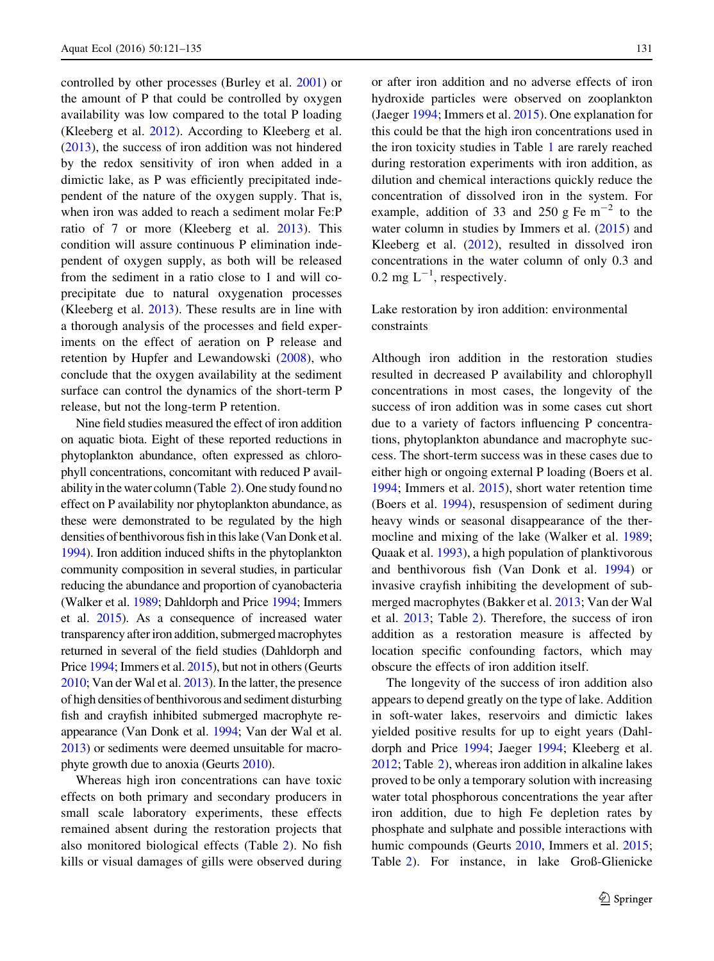controlled by other processes (Burley et al. [2001](#page-12-0)) or the amount of P that could be controlled by oxygen availability was low compared to the total P loading (Kleeberg et al. [2012\)](#page-13-0). According to Kleeberg et al. [\(2013](#page-13-0)), the success of iron addition was not hindered by the redox sensitivity of iron when added in a dimictic lake, as P was efficiently precipitated independent of the nature of the oxygen supply. That is, when iron was added to reach a sediment molar Fe:P ratio of 7 or more (Kleeberg et al. [2013\)](#page-13-0). This condition will assure continuous P elimination independent of oxygen supply, as both will be released from the sediment in a ratio close to 1 and will coprecipitate due to natural oxygenation processes (Kleeberg et al. [2013\)](#page-13-0). These results are in line with a thorough analysis of the processes and field experiments on the effect of aeration on P release and retention by Hupfer and Lewandowski [\(2008](#page-12-0)), who conclude that the oxygen availability at the sediment surface can control the dynamics of the short-term P release, but not the long-term P retention.

Nine field studies measured the effect of iron addition on aquatic biota. Eight of these reported reductions in phytoplankton abundance, often expressed as chlorophyll concentrations, concomitant with reduced P avail-ability in the water column (Table [2\)](#page-8-0). One study found no effect on P availability nor phytoplankton abundance, as these were demonstrated to be regulated by the high densities of benthivorous fish in this lake (Van Donk et al. [1994](#page-14-0)). Iron addition induced shifts in the phytoplankton community composition in several studies, in particular reducing the abundance and proportion of cyanobacteria (Walker et al. [1989](#page-14-0); Dahldorph and Price [1994](#page-12-0); Immers et al. [2015](#page-12-0)). As a consequence of increased water transparency after iron addition, submerged macrophytes returned in several of the field studies (Dahldorph and Price [1994;](#page-12-0) Immers et al. [2015\)](#page-12-0), but not in others (Geurts [2010](#page-12-0); Van der Wal et al. [2013](#page-14-0)). In the latter, the presence of high densities of benthivorous and sediment disturbing fish and crayfish inhibited submerged macrophyte reappearance (Van Donk et al. [1994](#page-14-0); Van der Wal et al. [2013](#page-14-0)) or sediments were deemed unsuitable for macrophyte growth due to anoxia (Geurts [2010](#page-12-0)).

Whereas high iron concentrations can have toxic effects on both primary and secondary producers in small scale laboratory experiments, these effects remained absent during the restoration projects that also monitored biological effects (Table [2\)](#page-8-0). No fish kills or visual damages of gills were observed during or after iron addition and no adverse effects of iron hydroxide particles were observed on zooplankton (Jaeger [1994;](#page-12-0) Immers et al. [2015\)](#page-12-0). One explanation for this could be that the high iron concentrations used in the iron toxicity studies in Table [1](#page-4-0) are rarely reached during restoration experiments with iron addition, as dilution and chemical interactions quickly reduce the concentration of dissolved iron in the system. For example, addition of 33 and 250 g Fe  $m^{-2}$  to the water column in studies by Immers et al. [\(2015](#page-12-0)) and Kleeberg et al. ([2012\)](#page-13-0), resulted in dissolved iron concentrations in the water column of only 0.3 and 0.2 mg  $L^{-1}$ , respectively.

## Lake restoration by iron addition: environmental constraints

Although iron addition in the restoration studies resulted in decreased P availability and chlorophyll concentrations in most cases, the longevity of the success of iron addition was in some cases cut short due to a variety of factors influencing P concentrations, phytoplankton abundance and macrophyte success. The short-term success was in these cases due to either high or ongoing external P loading (Boers et al. [1994;](#page-11-0) Immers et al. [2015\)](#page-12-0), short water retention time (Boers et al. [1994\)](#page-11-0), resuspension of sediment during heavy winds or seasonal disappearance of the thermocline and mixing of the lake (Walker et al. [1989](#page-14-0); Quaak et al. [1993\)](#page-13-0), a high population of planktivorous and benthivorous fish (Van Donk et al. [1994](#page-14-0)) or invasive crayfish inhibiting the development of submerged macrophytes (Bakker et al. [2013](#page-11-0); Van der Wal et al. [2013](#page-14-0); Table [2](#page-8-0)). Therefore, the success of iron addition as a restoration measure is affected by location specific confounding factors, which may obscure the effects of iron addition itself.

The longevity of the success of iron addition also appears to depend greatly on the type of lake. Addition in soft-water lakes, reservoirs and dimictic lakes yielded positive results for up to eight years (Dahldorph and Price [1994](#page-12-0); Jaeger [1994;](#page-12-0) Kleeberg et al. [2012;](#page-13-0) Table [2\)](#page-8-0), whereas iron addition in alkaline lakes proved to be only a temporary solution with increasing water total phosphorous concentrations the year after iron addition, due to high Fe depletion rates by phosphate and sulphate and possible interactions with humic compounds (Geurts [2010](#page-12-0), Immers et al. [2015](#page-12-0); Table [2](#page-8-0)). For instance, in lake Groß-Glienicke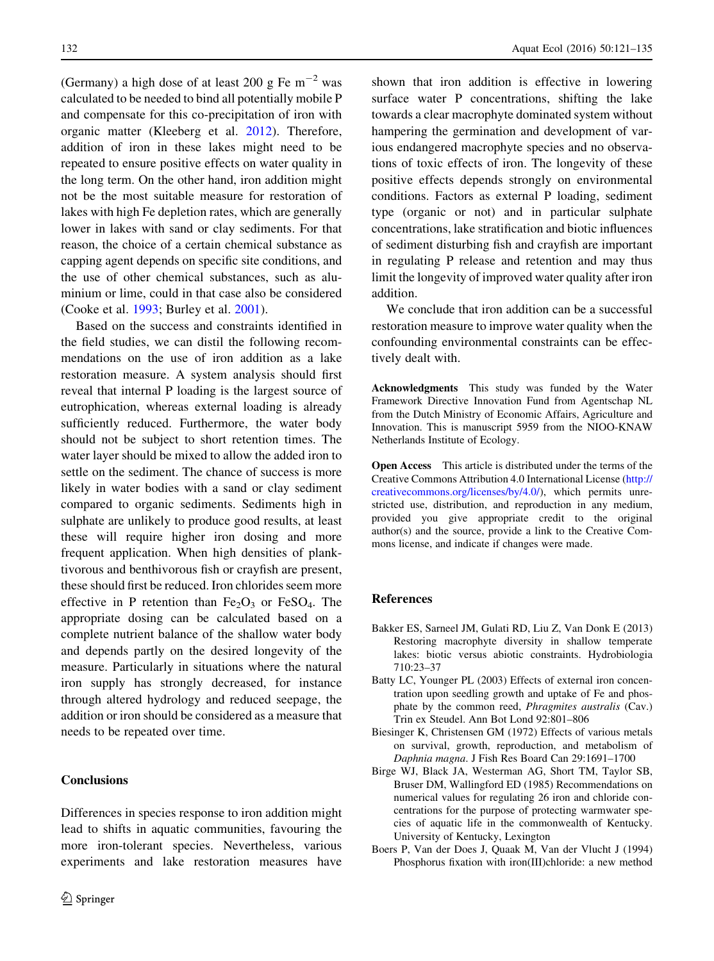(Germany) a high dose of at least 200 g Fe  $m^{-2}$  was calculated to be needed to bind all potentially mobile P and compensate for this co-precipitation of iron with organic matter (Kleeberg et al. [2012\)](#page-13-0). Therefore, addition of iron in these lakes might need to be repeated to ensure positive effects on water quality in the long term. On the other hand, iron addition might not be the most suitable measure for restoration of lakes with high Fe depletion rates, which are generally lower in lakes with sand or clay sediments. For that reason, the choice of a certain chemical substance as capping agent depends on specific site conditions, and the use of other chemical substances, such as aluminium or lime, could in that case also be considered (Cooke et al. [1993;](#page-12-0) Burley et al. [2001\)](#page-12-0).

Based on the success and constraints identified in the field studies, we can distil the following recommendations on the use of iron addition as a lake restoration measure. A system analysis should first reveal that internal P loading is the largest source of eutrophication, whereas external loading is already sufficiently reduced. Furthermore, the water body should not be subject to short retention times. The water layer should be mixed to allow the added iron to settle on the sediment. The chance of success is more likely in water bodies with a sand or clay sediment compared to organic sediments. Sediments high in sulphate are unlikely to produce good results, at least these will require higher iron dosing and more frequent application. When high densities of planktivorous and benthivorous fish or crayfish are present, these should first be reduced. Iron chlorides seem more effective in P retention than  $Fe<sub>2</sub>O<sub>3</sub>$  or  $FeSO<sub>4</sub>$ . The appropriate dosing can be calculated based on a complete nutrient balance of the shallow water body and depends partly on the desired longevity of the measure. Particularly in situations where the natural iron supply has strongly decreased, for instance through altered hydrology and reduced seepage, the addition or iron should be considered as a measure that needs to be repeated over time.

## **Conclusions**

Differences in species response to iron addition might lead to shifts in aquatic communities, favouring the more iron-tolerant species. Nevertheless, various experiments and lake restoration measures have

<span id="page-11-0"></span>132 **Aquat Ecol** (2016) 50:121-135

shown that iron addition is effective in lowering surface water P concentrations, shifting the lake towards a clear macrophyte dominated system without hampering the germination and development of various endangered macrophyte species and no observations of toxic effects of iron. The longevity of these positive effects depends strongly on environmental conditions. Factors as external P loading, sediment type (organic or not) and in particular sulphate concentrations, lake stratification and biotic influences of sediment disturbing fish and crayfish are important in regulating P release and retention and may thus limit the longevity of improved water quality after iron addition.

We conclude that iron addition can be a successful restoration measure to improve water quality when the confounding environmental constraints can be effectively dealt with.

Acknowledgments This study was funded by the Water Framework Directive Innovation Fund from Agentschap NL from the Dutch Ministry of Economic Affairs, Agriculture and Innovation. This is manuscript 5959 from the NIOO-KNAW Netherlands Institute of Ecology.

Open Access This article is distributed under the terms of the Creative Commons Attribution 4.0 International License ([http://](http://creativecommons.org/licenses/by/4.0/) [creativecommons.org/licenses/by/4.0/\)](http://creativecommons.org/licenses/by/4.0/), which permits unrestricted use, distribution, and reproduction in any medium, provided you give appropriate credit to the original author(s) and the source, provide a link to the Creative Commons license, and indicate if changes were made.

## References

- Bakker ES, Sarneel JM, Gulati RD, Liu Z, Van Donk E (2013) Restoring macrophyte diversity in shallow temperate lakes: biotic versus abiotic constraints. Hydrobiologia 710:23–37
- Batty LC, Younger PL (2003) Effects of external iron concentration upon seedling growth and uptake of Fe and phosphate by the common reed, Phragmites australis (Cav.) Trin ex Steudel. Ann Bot Lond 92:801–806
- Biesinger K, Christensen GM (1972) Effects of various metals on survival, growth, reproduction, and metabolism of Daphnia magna. J Fish Res Board Can 29:1691–1700
- Birge WJ, Black JA, Westerman AG, Short TM, Taylor SB, Bruser DM, Wallingford ED (1985) Recommendations on numerical values for regulating 26 iron and chloride concentrations for the purpose of protecting warmwater species of aquatic life in the commonwealth of Kentucky. University of Kentucky, Lexington
- Boers P, Van der Does J, Quaak M, Van der Vlucht J (1994) Phosphorus fixation with iron(III)chloride: a new method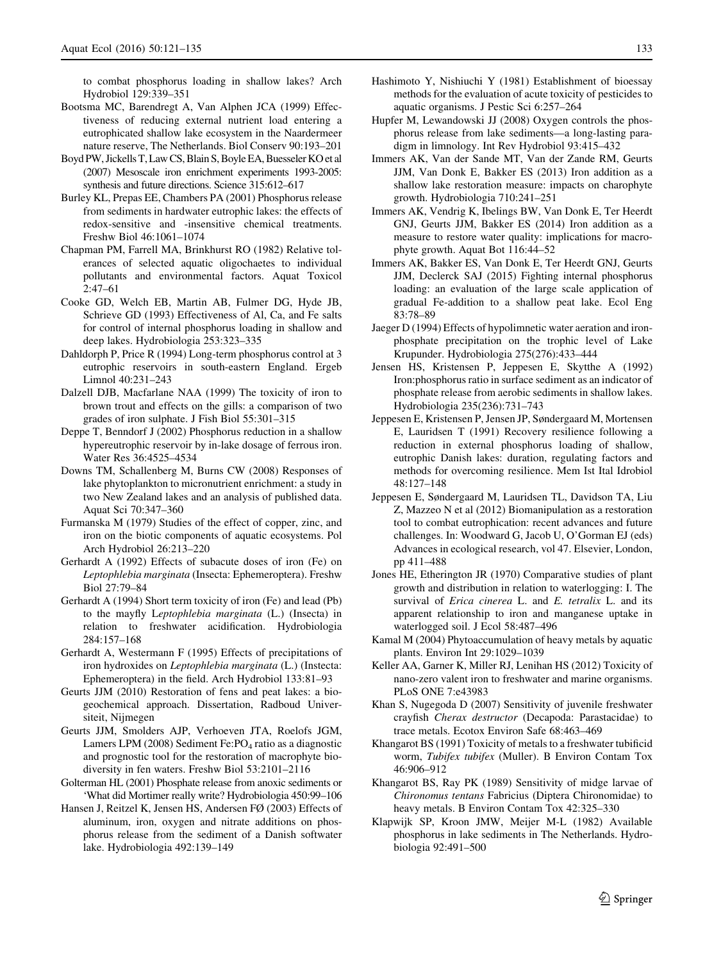<span id="page-12-0"></span>to combat phosphorus loading in shallow lakes? Arch Hydrobiol 129:339–351

- Bootsma MC, Barendregt A, Van Alphen JCA (1999) Effectiveness of reducing external nutrient load entering a eutrophicated shallow lake ecosystem in the Naardermeer nature reserve, The Netherlands. Biol Conserv 90:193–201
- Boyd PW, Jickells T, Law CS, Blain S, Boyle EA, Buesseler KO et al (2007) Mesoscale iron enrichment experiments 1993-2005: synthesis and future directions. Science 315:612–617
- Burley KL, Prepas EE, Chambers PA (2001) Phosphorus release from sediments in hardwater eutrophic lakes: the effects of redox-sensitive and -insensitive chemical treatments. Freshw Biol 46:1061–1074
- Chapman PM, Farrell MA, Brinkhurst RO (1982) Relative tolerances of selected aquatic oligochaetes to individual pollutants and environmental factors. Aquat Toxicol 2:47–61
- Cooke GD, Welch EB, Martin AB, Fulmer DG, Hyde JB, Schrieve GD (1993) Effectiveness of Al, Ca, and Fe salts for control of internal phosphorus loading in shallow and deep lakes. Hydrobiologia 253:323–335
- Dahldorph P, Price R (1994) Long-term phosphorus control at 3 eutrophic reservoirs in south-eastern England. Ergeb Limnol 40:231–243
- Dalzell DJB, Macfarlane NAA (1999) The toxicity of iron to brown trout and effects on the gills: a comparison of two grades of iron sulphate. J Fish Biol 55:301–315
- Deppe T, Benndorf J (2002) Phosphorus reduction in a shallow hypereutrophic reservoir by in-lake dosage of ferrous iron. Water Res 36:4525–4534
- Downs TM, Schallenberg M, Burns CW (2008) Responses of lake phytoplankton to micronutrient enrichment: a study in two New Zealand lakes and an analysis of published data. Aquat Sci 70:347–360
- Furmanska M (1979) Studies of the effect of copper, zinc, and iron on the biotic components of aquatic ecosystems. Pol Arch Hydrobiol 26:213–220
- Gerhardt A (1992) Effects of subacute doses of iron (Fe) on Leptophlebia marginata (Insecta: Ephemeroptera). Freshw Biol 27:79–84
- Gerhardt A (1994) Short term toxicity of iron (Fe) and lead (Pb) to the mayfly Leptophlebia marginata (L.) (Insecta) in relation to freshwater acidification. Hydrobiologia 284:157–168
- Gerhardt A, Westermann F (1995) Effects of precipitations of iron hydroxides on Leptophlebia marginata (L.) (Instecta: Ephemeroptera) in the field. Arch Hydrobiol 133:81–93
- Geurts JJM (2010) Restoration of fens and peat lakes: a biogeochemical approach. Dissertation, Radboud Universiteit, Nijmegen
- Geurts JJM, Smolders AJP, Verhoeven JTA, Roelofs JGM, Lamers LPM (2008) Sediment Fe: $PO<sub>4</sub>$  ratio as a diagnostic and prognostic tool for the restoration of macrophyte biodiversity in fen waters. Freshw Biol 53:2101–2116
- Golterman HL (2001) Phosphate release from anoxic sediments or 'What did Mortimer really write? Hydrobiologia 450:99–106
- Hansen J, Reitzel K, Jensen HS, Andersen FØ (2003) Effects of aluminum, iron, oxygen and nitrate additions on phosphorus release from the sediment of a Danish softwater lake. Hydrobiologia 492:139–149
- Hashimoto Y, Nishiuchi Y (1981) Establishment of bioessay methods for the evaluation of acute toxicity of pesticides to aquatic organisms. J Pestic Sci 6:257–264
- Hupfer M, Lewandowski JJ (2008) Oxygen controls the phosphorus release from lake sediments—a long-lasting paradigm in limnology. Int Rev Hydrobiol 93:415–432
- Immers AK, Van der Sande MT, Van der Zande RM, Geurts JJM, Van Donk E, Bakker ES (2013) Iron addition as a shallow lake restoration measure: impacts on charophyte growth. Hydrobiologia 710:241–251
- Immers AK, Vendrig K, Ibelings BW, Van Donk E, Ter Heerdt GNJ, Geurts JJM, Bakker ES (2014) Iron addition as a measure to restore water quality: implications for macrophyte growth. Aquat Bot 116:44–52
- Immers AK, Bakker ES, Van Donk E, Ter Heerdt GNJ, Geurts JJM, Declerck SAJ (2015) Fighting internal phosphorus loading: an evaluation of the large scale application of gradual Fe-addition to a shallow peat lake. Ecol Eng 83:78–89
- Jaeger D (1994) Effects of hypolimnetic water aeration and ironphosphate precipitation on the trophic level of Lake Krupunder. Hydrobiologia 275(276):433–444
- Jensen HS, Kristensen P, Jeppesen E, Skytthe A (1992) Iron:phosphorus ratio in surface sediment as an indicator of phosphate release from aerobic sediments in shallow lakes. Hydrobiologia 235(236):731–743
- Jeppesen E, Kristensen P, Jensen JP, Søndergaard M, Mortensen E, Lauridsen T (1991) Recovery resilience following a reduction in external phosphorus loading of shallow, eutrophic Danish lakes: duration, regulating factors and methods for overcoming resilience. Mem Ist Ital Idrobiol 48:127–148
- Jeppesen E, Søndergaard M, Lauridsen TL, Davidson TA, Liu Z, Mazzeo N et al (2012) Biomanipulation as a restoration tool to combat eutrophication: recent advances and future challenges. In: Woodward G, Jacob U, O'Gorman EJ (eds) Advances in ecological research, vol 47. Elsevier, London, pp 411–488
- Jones HE, Etherington JR (1970) Comparative studies of plant growth and distribution in relation to waterlogging: I. The survival of *Erica cinerea* L. and *E. tetralix* L. and its apparent relationship to iron and manganese uptake in waterlogged soil. J Ecol 58:487–496
- Kamal M (2004) Phytoaccumulation of heavy metals by aquatic plants. Environ Int 29:1029–1039
- Keller AA, Garner K, Miller RJ, Lenihan HS (2012) Toxicity of nano-zero valent iron to freshwater and marine organisms. PLoS ONE 7:e43983
- Khan S, Nugegoda D (2007) Sensitivity of juvenile freshwater crayfish Cherax destructor (Decapoda: Parastacidae) to trace metals. Ecotox Environ Safe 68:463–469
- Khangarot BS (1991) Toxicity of metals to a freshwater tubificid worm, Tubifex tubifex (Muller). B Environ Contam Tox 46:906–912
- Khangarot BS, Ray PK (1989) Sensitivity of midge larvae of Chironomus tentans Fabricius (Diptera Chironomidae) to heavy metals. B Environ Contam Tox 42:325–330
- Klapwijk SP, Kroon JMW, Meijer M-L (1982) Available phosphorus in lake sediments in The Netherlands. Hydrobiologia 92:491–500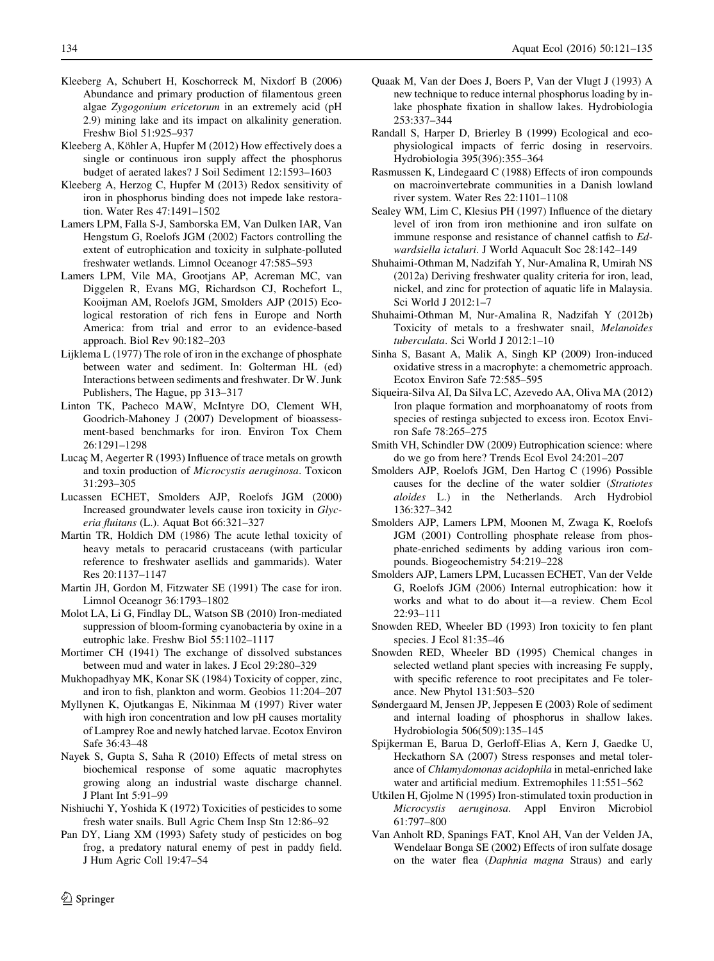- <span id="page-13-0"></span>Kleeberg A, Schubert H, Koschorreck M, Nixdorf B (2006) Abundance and primary production of filamentous green algae Zygogonium ericetorum in an extremely acid (pH 2.9) mining lake and its impact on alkalinity generation. Freshw Biol 51:925–937
- Kleeberg A, Köhler A, Hupfer M (2012) How effectively does a single or continuous iron supply affect the phosphorus budget of aerated lakes? J Soil Sediment 12:1593–1603
- Kleeberg A, Herzog C, Hupfer M (2013) Redox sensitivity of iron in phosphorus binding does not impede lake restoration. Water Res 47:1491–1502
- Lamers LPM, Falla S-J, Samborska EM, Van Dulken IAR, Van Hengstum G, Roelofs JGM (2002) Factors controlling the extent of eutrophication and toxicity in sulphate-polluted freshwater wetlands. Limnol Oceanogr 47:585–593
- Lamers LPM, Vile MA, Grootjans AP, Acreman MC, van Diggelen R, Evans MG, Richardson CJ, Rochefort L, Kooijman AM, Roelofs JGM, Smolders AJP (2015) Ecological restoration of rich fens in Europe and North America: from trial and error to an evidence-based approach. Biol Rev 90:182–203
- Lijklema L (1977) The role of iron in the exchange of phosphate between water and sediment. In: Golterman HL (ed) Interactions between sediments and freshwater. Dr W. Junk Publishers, The Hague, pp 313–317
- Linton TK, Pacheco MAW, McIntyre DO, Clement WH, Goodrich-Mahoney J (2007) Development of bioassessment-based benchmarks for iron. Environ Tox Chem 26:1291–1298
- Lucaç M, Aegerter R (1993) Influence of trace metals on growth and toxin production of Microcystis aeruginosa. Toxicon 31:293–305
- Lucassen ECHET, Smolders AJP, Roelofs JGM (2000) Increased groundwater levels cause iron toxicity in Glyceria fluitans (L.). Aquat Bot 66:321–327
- Martin TR, Holdich DM (1986) The acute lethal toxicity of heavy metals to peracarid crustaceans (with particular reference to freshwater asellids and gammarids). Water Res 20:1137–1147
- Martin JH, Gordon M, Fitzwater SE (1991) The case for iron. Limnol Oceanogr 36:1793–1802
- Molot LA, Li G, Findlay DL, Watson SB (2010) Iron-mediated suppression of bloom-forming cyanobacteria by oxine in a eutrophic lake. Freshw Biol 55:1102–1117
- Mortimer CH (1941) The exchange of dissolved substances between mud and water in lakes. J Ecol 29:280–329
- Mukhopadhyay MK, Konar SK (1984) Toxicity of copper, zinc, and iron to fish, plankton and worm. Geobios 11:204–207
- Myllynen K, Ojutkangas E, Nikinmaa M (1997) River water with high iron concentration and low pH causes mortality of Lamprey Roe and newly hatched larvae. Ecotox Environ Safe 36:43–48
- Nayek S, Gupta S, Saha R (2010) Effects of metal stress on biochemical response of some aquatic macrophytes growing along an industrial waste discharge channel. J Plant Int 5:91–99
- Nishiuchi Y, Yoshida K (1972) Toxicities of pesticides to some fresh water snails. Bull Agric Chem Insp Stn 12:86–92
- Pan DY, Liang XM (1993) Safety study of pesticides on bog frog, a predatory natural enemy of pest in paddy field. J Hum Agric Coll 19:47–54
- Quaak M, Van der Does J, Boers P, Van der Vlugt J (1993) A new technique to reduce internal phosphorus loading by inlake phosphate fixation in shallow lakes. Hydrobiologia 253:337–344
- Randall S, Harper D, Brierley B (1999) Ecological and ecophysiological impacts of ferric dosing in reservoirs. Hydrobiologia 395(396):355–364
- Rasmussen K, Lindegaard C (1988) Effects of iron compounds on macroinvertebrate communities in a Danish lowland river system. Water Res 22:1101–1108
- Sealey WM, Lim C, Klesius PH (1997) Influence of the dietary level of iron from iron methionine and iron sulfate on immune response and resistance of channel catfish to Edwardsiella ictaluri. J World Aquacult Soc 28:142–149
- Shuhaimi-Othman M, Nadzifah Y, Nur-Amalina R, Umirah NS (2012a) Deriving freshwater quality criteria for iron, lead, nickel, and zinc for protection of aquatic life in Malaysia. Sci World J 2012:1–7
- Shuhaimi-Othman M, Nur-Amalina R, Nadzifah Y (2012b) Toxicity of metals to a freshwater snail, Melanoides tuberculata. Sci World J 2012:1–10
- Sinha S, Basant A, Malik A, Singh KP (2009) Iron-induced oxidative stress in a macrophyte: a chemometric approach. Ecotox Environ Safe 72:585–595
- Siqueira-Silva AI, Da Silva LC, Azevedo AA, Oliva MA (2012) Iron plaque formation and morphoanatomy of roots from species of restinga subjected to excess iron. Ecotox Environ Safe 78:265–275
- Smith VH, Schindler DW (2009) Eutrophication science: where do we go from here? Trends Ecol Evol 24:201–207
- Smolders AJP, Roelofs JGM, Den Hartog C (1996) Possible causes for the decline of the water soldier (Stratiotes aloides L.) in the Netherlands. Arch Hydrobiol 136:327–342
- Smolders AJP, Lamers LPM, Moonen M, Zwaga K, Roelofs JGM (2001) Controlling phosphate release from phosphate-enriched sediments by adding various iron compounds. Biogeochemistry 54:219–228
- Smolders AJP, Lamers LPM, Lucassen ECHET, Van der Velde G, Roelofs JGM (2006) Internal eutrophication: how it works and what to do about it—a review. Chem Ecol 22:93–111
- Snowden RED, Wheeler BD (1993) Iron toxicity to fen plant species. J Ecol 81:35–46
- Snowden RED, Wheeler BD (1995) Chemical changes in selected wetland plant species with increasing Fe supply, with specific reference to root precipitates and Fe tolerance. New Phytol 131:503–520
- Søndergaard M, Jensen JP, Jeppesen E (2003) Role of sediment and internal loading of phosphorus in shallow lakes. Hydrobiologia 506(509):135–145
- Spijkerman E, Barua D, Gerloff-Elias A, Kern J, Gaedke U, Heckathorn SA (2007) Stress responses and metal tolerance of Chlamydomonas acidophila in metal-enriched lake water and artificial medium. Extremophiles 11:551–562
- Utkilen H, Gjolme N (1995) Iron-stimulated toxin production in Microcystis aeruginosa. Appl Environ Microbiol 61:797–800
- Van Anholt RD, Spanings FAT, Knol AH, Van der Velden JA, Wendelaar Bonga SE (2002) Effects of iron sulfate dosage on the water flea (Daphnia magna Straus) and early